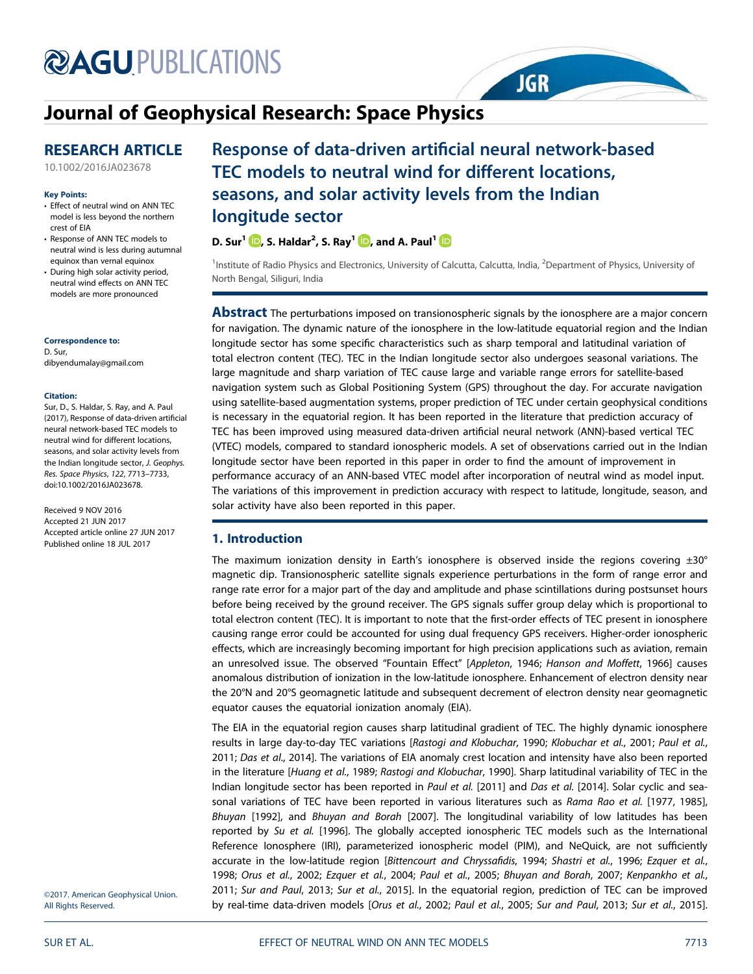# **@AGUPUBLICATIONS**

# Journal of Geophysical Research: Space Physics

# RESEARCH ARTICLE

10.1002/2016JA023678

#### Key Points:

- Effect of neutral wind on ANN TEC model is less beyond the northern crest of EIA
- Response of ANN TEC models to neutral wind is less during autumnal equinox than vernal equinox
- During high solar activity period, neutral wind effects on ANN TEC models are more pronounced

#### Correspondence to:

D. Sur, dibyendumalay@gmail.com

#### Citation:

Sur, D., S. Haldar, S. Ray, and A. Paul (2017), Response of data-driven artificial neural network-based TEC models to neutral wind for different locations, seasons, and solar activity levels from the Indian longitude sector, *J. Geophys. Res. Space Physics*, *122*, 7713–7733, doi:10.1002/2016JA023678.

Received 9 NOV 2016 Accepted 21 JUN 2017 Accepted article online 27 JUN 2017 Published online 18 JUL 2017

# Response of data-driven artificial neural network-based TEC models to neutral wind for different locations, seasons, and solar activity levels from the Indian longitude sector

#### D. Sur $^{1}$   $\text{\textregistered}$ , S. Haldar<sup>2</sup>, S. Ray $^{1}$   $\text{\textregistered}$  , and A. Paul<sup>1</sup>

<sup>1</sup>Institute of Radio Physics and Electronics, University of Calcutta, Calcutta, India, <sup>2</sup>Department of Physics, University of North Bengal, Siliguri, India

**JGR** 

**Abstract** The perturbations imposed on transionospheric signals by the ionosphere are a major concern for navigation. The dynamic nature of the ionosphere in the low-latitude equatorial region and the Indian longitude sector has some specific characteristics such as sharp temporal and latitudinal variation of total electron content (TEC). TEC in the Indian longitude sector also undergoes seasonal variations. The large magnitude and sharp variation of TEC cause large and variable range errors for satellite-based navigation system such as Global Positioning System (GPS) throughout the day. For accurate navigation using satellite-based augmentation systems, proper prediction of TEC under certain geophysical conditions is necessary in the equatorial region. It has been reported in the literature that prediction accuracy of TEC has been improved using measured data-driven artificial neural network (ANN)-based vertical TEC (VTEC) models, compared to standard ionospheric models. A set of observations carried out in the Indian longitude sector have been reported in this paper in order to find the amount of improvement in performance accuracy of an ANN-based VTEC model after incorporation of neutral wind as model input. The variations of this improvement in prediction accuracy with respect to latitude, longitude, season, and solar activity have also been reported in this paper.

# 1. Introduction

The maximum ionization density in Earth's ionosphere is observed inside the regions covering  $\pm 30^\circ$ magnetic dip. Transionospheric satellite signals experience perturbations in the form of range error and range rate error for a major part of the day and amplitude and phase scintillations during postsunset hours before being received by the ground receiver. The GPS signals suffer group delay which is proportional to total electron content (TEC). It is important to note that the first-order effects of TEC present in ionosphere causing range error could be accounted for using dual frequency GPS receivers. Higher-order ionospheric effects, which are increasingly becoming important for high precision applications such as aviation, remain an unresolved issue. The observed "Fountain Effect" [*Appleton*, 1946; *Hanson and Moffett*, 1966] causes anomalous distribution of ionization in the low-latitude ionosphere. Enhancement of electron density near the 20°N and 20°S geomagnetic latitude and subsequent decrement of electron density near geomagnetic equator causes the equatorial ionization anomaly (EIA).

The EIA in the equatorial region causes sharp latitudinal gradient of TEC. The highly dynamic ionosphere results in large day-to-day TEC variations [*Rastogi and Klobuchar*, 1990; *Klobuchar et al.*, 2001; *Paul et al.*, 2011; *Das et al*., 2014]. The variations of EIA anomaly crest location and intensity have also been reported in the literature [*Huang et al.*, 1989; *Rastogi and Klobuchar*, 1990]. Sharp latitudinal variability of TEC in the Indian longitude sector has been reported in *Paul et al.* [2011] and *Das et al.* [2014]. Solar cyclic and seasonal variations of TEC have been reported in various literatures such as *Rama Rao et al.* [1977, 1985], *Bhuyan* [1992], and *Bhuyan and Borah* [2007]. The longitudinal variability of low latitudes has been reported by *Su et al.* [1996]. The globally accepted ionospheric TEC models such as the International Reference Ionosphere (IRI), parameterized ionospheric model (PIM), and NeQuick, are not sufficiently accurate in the low-latitude region [*Bittencourt and Chryssa*fi*dis*, 1994; *Shastri et al.*, 1996; *Ezquer et al.*, 1998; *Orus et al.*, 2002; *Ezquer et al.*, 2004; *Paul et al.*, 2005; *Bhuyan and Borah*, 2007; *Kenpankho et al.*, 2011; *Sur and Paul*, 2013; *Sur et al.*, 2015]. In the equatorial region, prediction of TEC can be improved by real-time data-driven models [*Orus et al.*, 2002; *Paul et al.*, 2005; *Sur and Paul*, 2013; *Sur et al.*, 2015].

©2017. American Geophysical Union. All Rights Reserved.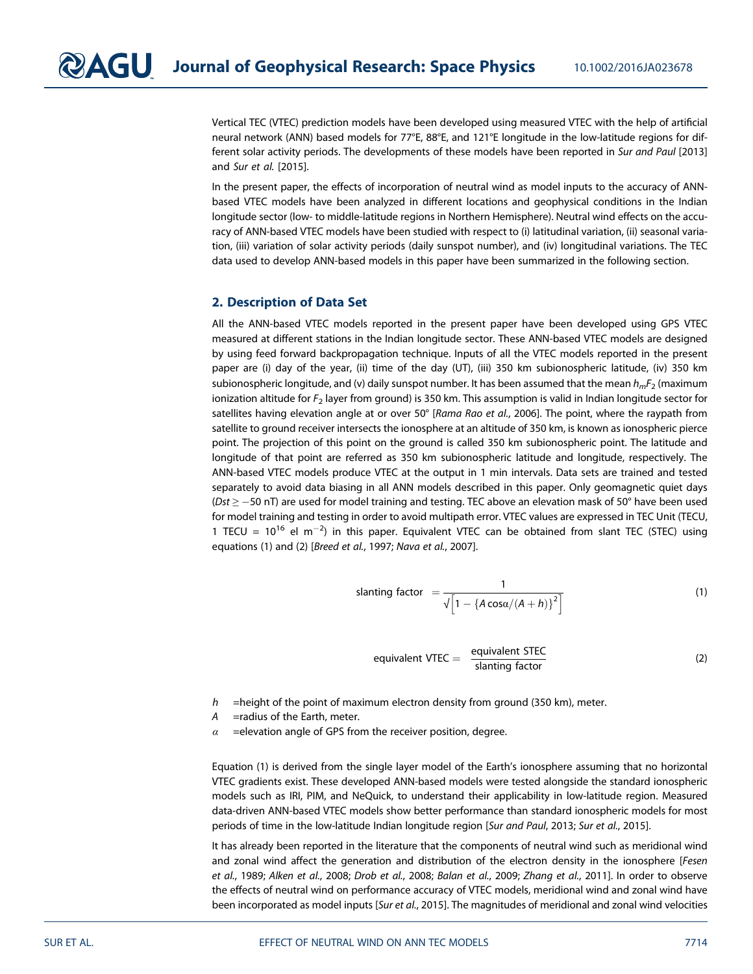Vertical TEC (VTEC) prediction models have been developed using measured VTEC with the help of artificial neural network (ANN) based models for 77°E, 88°E, and 121°E longitude in the low-latitude regions for different solar activity periods. The developments of these models have been reported in *Sur and Paul* [2013] and *Sur et al.* [2015].

In the present paper, the effects of incorporation of neutral wind as model inputs to the accuracy of ANNbased VTEC models have been analyzed in different locations and geophysical conditions in the Indian longitude sector (low- to middle-latitude regions in Northern Hemisphere). Neutral wind effects on the accuracy of ANN-based VTEC models have been studied with respect to (i) latitudinal variation, (ii) seasonal variation, (iii) variation of solar activity periods (daily sunspot number), and (iv) longitudinal variations. The TEC data used to develop ANN-based models in this paper have been summarized in the following section.

#### 2. Description of Data Set

All the ANN-based VTEC models reported in the present paper have been developed using GPS VTEC measured at different stations in the Indian longitude sector. These ANN-based VTEC models are designed by using feed forward backpropagation technique. Inputs of all the VTEC models reported in the present paper are (i) day of the year, (ii) time of the day (UT), (iii) 350 km subionospheric latitude, (iv) 350 km subionospheric longitude, and (v) daily sunspot number. It has been assumed that the mean *hmF*<sup>2</sup> (maximum ionization altitude for *F*<sup>2</sup> layer from ground) is 350 km. This assumption is valid in Indian longitude sector for satellites having elevation angle at or over 50° [*Rama Rao et al.*, 2006]. The point, where the raypath from satellite to ground receiver intersects the ionosphere at an altitude of 350 km, is known as ionospheric pierce point. The projection of this point on the ground is called 350 km subionospheric point. The latitude and longitude of that point are referred as 350 km subionospheric latitude and longitude, respectively. The ANN-based VTEC models produce VTEC at the output in 1 min intervals. Data sets are trained and tested separately to avoid data biasing in all ANN models described in this paper. Only geomagnetic quiet days ( $Dst \ge -50$  nT) are used for model training and testing. TEC above an elevation mask of 50° have been used for model training and testing in order to avoid multipath error. VTEC values are expressed in TEC Unit (TECU, 1 TECU =  $10^{16}$  el m<sup>-2</sup>) in this paper. Equivalent VTEC can be obtained from slant TEC (STEC) using equations (1) and (2) [*Breed et al.*, 1997; *Nava et al.*, 2007].

$$
\text{slanting factor } = \frac{1}{\sqrt{\left[1 - \left\{A\cos\alpha/(A+h)\right\}^2\right]}} \tag{1}
$$

$$
equivalent VTEC = \frac{equivalent STEC}{slanting factor}
$$
 (2)

*h* =height of the point of maximum electron density from ground (350 km), meter.

*A* =radius of the Earth, meter.

 $\alpha$  =elevation angle of GPS from the receiver position, degree.

Equation (1) is derived from the single layer model of the Earth's ionosphere assuming that no horizontal VTEC gradients exist. These developed ANN-based models were tested alongside the standard ionospheric models such as IRI, PIM, and NeQuick, to understand their applicability in low-latitude region. Measured data-driven ANN-based VTEC models show better performance than standard ionospheric models for most periods of time in the low-latitude Indian longitude region [*Sur and Paul*, 2013; *Sur et al.*, 2015].

It has already been reported in the literature that the components of neutral wind such as meridional wind and zonal wind affect the generation and distribution of the electron density in the ionosphere [*Fesen et al.*, 1989; *Alken et al.*, 2008; *Drob et al.*, 2008; *Balan et al.*, 2009; *Zhang et al.*, 2011]. In order to observe the effects of neutral wind on performance accuracy of VTEC models, meridional wind and zonal wind have been incorporated as model inputs [*Sur et al.*, 2015]. The magnitudes of meridional and zonal wind velocities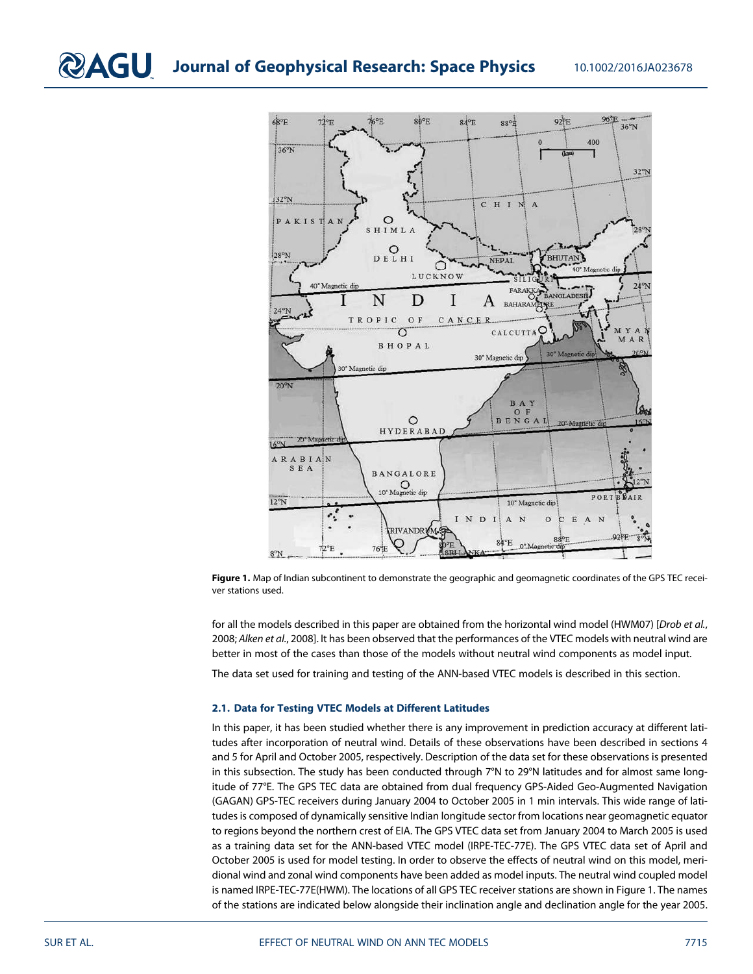

Figure 1. Map of Indian subcontinent to demonstrate the geographic and geomagnetic coordinates of the GPS TEC receiver stations used.

for all the models described in this paper are obtained from the horizontal wind model (HWM07) [*Drob et al.*, 2008; *Alken et al.*, 2008]. It has been observed that the performances of the VTEC models with neutral wind are better in most of the cases than those of the models without neutral wind components as model input.

The data set used for training and testing of the ANN-based VTEC models is described in this section.

#### 2.1. Data for Testing VTEC Models at Different Latitudes

In this paper, it has been studied whether there is any improvement in prediction accuracy at different latitudes after incorporation of neutral wind. Details of these observations have been described in sections 4 and 5 for April and October 2005, respectively. Description of the data set for these observations is presented in this subsection. The study has been conducted through 7°N to 29°N latitudes and for almost same longitude of 77°E. The GPS TEC data are obtained from dual frequency GPS-Aided Geo-Augmented Navigation (GAGAN) GPS-TEC receivers during January 2004 to October 2005 in 1 min intervals. This wide range of latitudes is composed of dynamically sensitive Indian longitude sector from locations near geomagnetic equator to regions beyond the northern crest of EIA. The GPS VTEC data set from January 2004 to March 2005 is used as a training data set for the ANN-based VTEC model (IRPE-TEC-77E). The GPS VTEC data set of April and October 2005 is used for model testing. In order to observe the effects of neutral wind on this model, meridional wind and zonal wind components have been added as model inputs. The neutral wind coupled model is named IRPE-TEC-77E(HWM). The locations of all GPS TEC receiver stations are shown in Figure 1. The names of the stations are indicated below alongside their inclination angle and declination angle for the year 2005.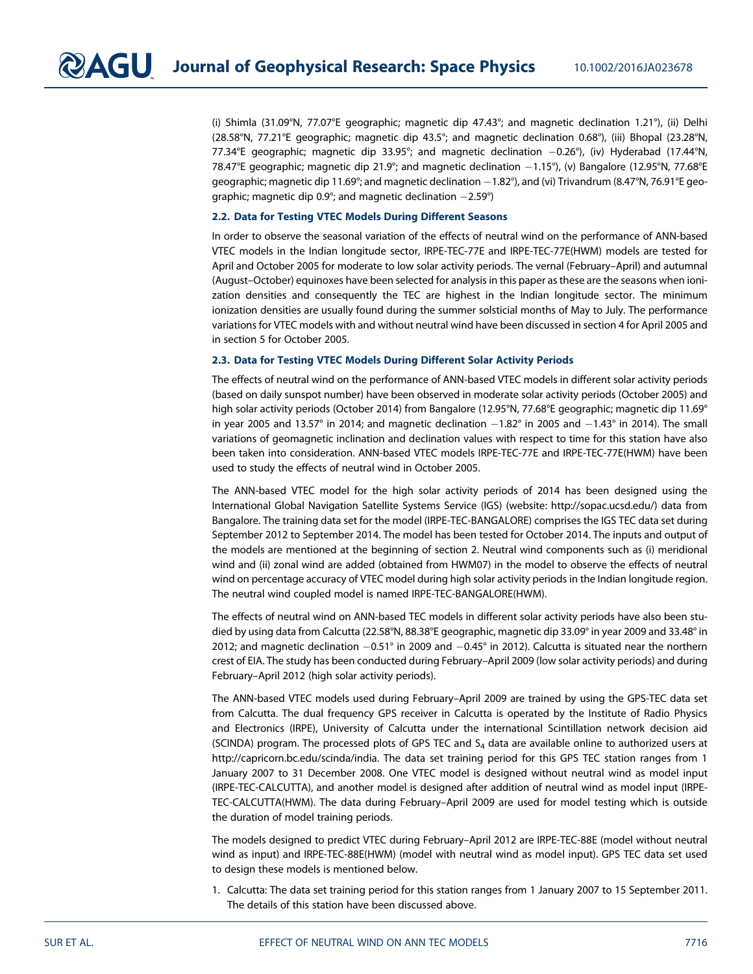(i) Shimla (31.09°N, 77.07°E geographic; magnetic dip 47.43°; and magnetic declination 1.21°), (ii) Delhi (28.58°N, 77.21°E geographic; magnetic dip 43.5°; and magnetic declination 0.68°), (iii) Bhopal (23.28°N, 77.34°E geographic; magnetic dip 33.95°; and magnetic declination  $-0.26$ °), (iv) Hyderabad (17.44°N, 78.47°E geographic; magnetic dip 21.9°; and magnetic declination  $-1.15^{\circ}$ ), (v) Bangalore (12.95°N, 77.68°E geographic; magnetic dip 11.69°; and magnetic declination -1.82°), and (vi) Trivandrum (8.47°N, 76.91°E geographic; magnetic dip  $0.9^\circ$ ; and magnetic declination  $-2.59^\circ$ )

#### 2.2. Data for Testing VTEC Models During Different Seasons

In order to observe the seasonal variation of the effects of neutral wind on the performance of ANN-based VTEC models in the Indian longitude sector, IRPE-TEC-77E and IRPE-TEC-77E(HWM) models are tested for April and October 2005 for moderate to low solar activity periods. The vernal (February–April) and autumnal (August–October) equinoxes have been selected for analysis in this paper as these are the seasons when ionization densities and consequently the TEC are highest in the Indian longitude sector. The minimum ionization densities are usually found during the summer solsticial months of May to July. The performance variations for VTEC models with and without neutral wind have been discussed in section 4 for April 2005 and in section 5 for October 2005.

#### 2.3. Data for Testing VTEC Models During Different Solar Activity Periods

The effects of neutral wind on the performance of ANN-based VTEC models in different solar activity periods (based on daily sunspot number) have been observed in moderate solar activity periods (October 2005) and high solar activity periods (October 2014) from Bangalore (12.95°N, 77.68°E geographic; magnetic dip 11.69° in year 2005 and 13.57° in 2014; and magnetic declination  $-1.82^\circ$  in 2005 and  $-1.43^\circ$  in 2014). The small variations of geomagnetic inclination and declination values with respect to time for this station have also been taken into consideration. ANN-based VTEC models IRPE-TEC-77E and IRPE-TEC-77E(HWM) have been used to study the effects of neutral wind in October 2005.

The ANN-based VTEC model for the high solar activity periods of 2014 has been designed using the International Global Navigation Satellite Systems Service (IGS) (website: http://sopac.ucsd.edu/) data from Bangalore. The training data set for the model (IRPE-TEC-BANGALORE) comprises the IGS TEC data set during September 2012 to September 2014. The model has been tested for October 2014. The inputs and output of the models are mentioned at the beginning of section 2. Neutral wind components such as (i) meridional wind and (ii) zonal wind are added (obtained from HWM07) in the model to observe the effects of neutral wind on percentage accuracy of VTEC model during high solar activity periods in the Indian longitude region. The neutral wind coupled model is named IRPE-TEC-BANGALORE(HWM).

The effects of neutral wind on ANN-based TEC models in different solar activity periods have also been studied by using data from Calcutta (22.58°N, 88.38°E geographic, magnetic dip 33.09° in year 2009 and 33.48° in 2012; and magnetic declination  $-0.51^{\circ}$  in 2009 and  $-0.45^{\circ}$  in 2012). Calcutta is situated near the northern crest of EIA. The study has been conducted during February–April 2009 (low solar activity periods) and during February–April 2012 (high solar activity periods).

The ANN-based VTEC models used during February–April 2009 are trained by using the GPS-TEC data set from Calcutta. The dual frequency GPS receiver in Calcutta is operated by the Institute of Radio Physics and Electronics (IRPE), University of Calcutta under the international Scintillation network decision aid (SCINDA) program. The processed plots of GPS TEC and  $S_4$  data are available online to authorized users at http://capricorn.bc.edu/scinda/india. The data set training period for this GPS TEC station ranges from 1 January 2007 to 31 December 2008. One VTEC model is designed without neutral wind as model input (IRPE-TEC-CALCUTTA), and another model is designed after addition of neutral wind as model input (IRPE-TEC-CALCUTTA(HWM). The data during February–April 2009 are used for model testing which is outside the duration of model training periods.

The models designed to predict VTEC during February–April 2012 are IRPE-TEC-88E (model without neutral wind as input) and IRPE-TEC-88E(HWM) (model with neutral wind as model input). GPS TEC data set used to design these models is mentioned below.

1. Calcutta: The data set training period for this station ranges from 1 January 2007 to 15 September 2011. The details of this station have been discussed above.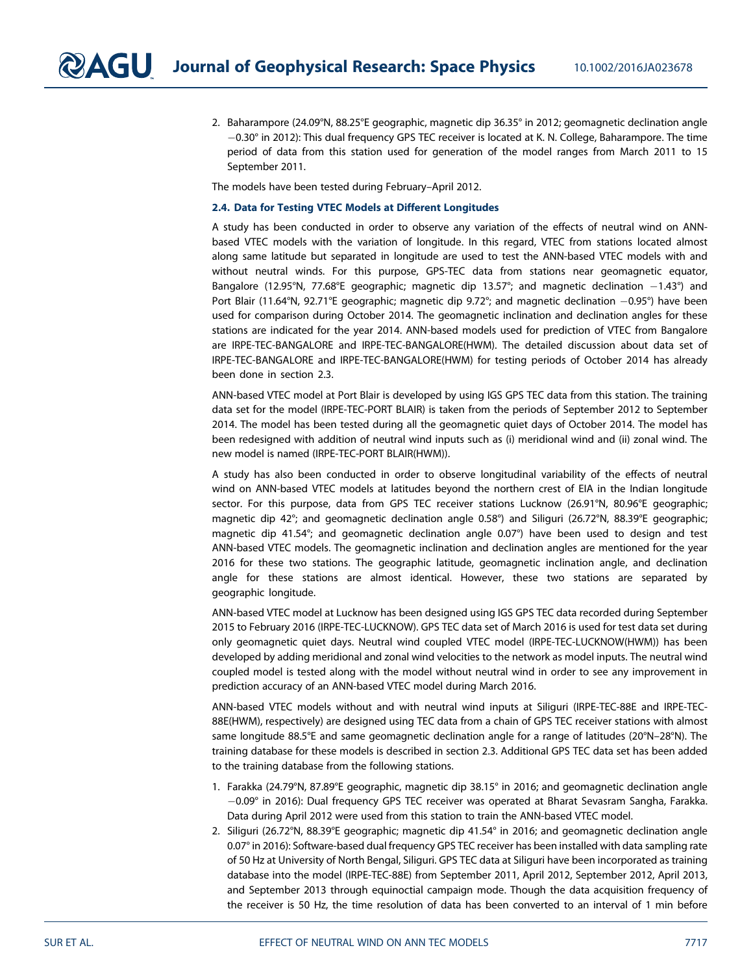2. Baharampore (24.09°N, 88.25°E geographic, magnetic dip 36.35° in 2012; geomagnetic declination angle  $-0.30^\circ$  in 2012): This dual frequency GPS TEC receiver is located at K. N. College, Baharampore. The time period of data from this station used for generation of the model ranges from March 2011 to 15 September 2011.

The models have been tested during February–April 2012.

#### 2.4. Data for Testing VTEC Models at Different Longitudes

A study has been conducted in order to observe any variation of the effects of neutral wind on ANNbased VTEC models with the variation of longitude. In this regard, VTEC from stations located almost along same latitude but separated in longitude are used to test the ANN-based VTEC models with and without neutral winds. For this purpose, GPS-TEC data from stations near geomagnetic equator, Bangalore (12.95°N, 77.68°E geographic; magnetic dip 13.57°; and magnetic declination  $-1.43$ °) and Port Blair (11.64°N, 92.71°E geographic; magnetic dip 9.72°; and magnetic declination  $-0.95^{\circ}$ ) have been used for comparison during October 2014. The geomagnetic inclination and declination angles for these stations are indicated for the year 2014. ANN-based models used for prediction of VTEC from Bangalore are IRPE-TEC-BANGALORE and IRPE-TEC-BANGALORE(HWM). The detailed discussion about data set of IRPE-TEC-BANGALORE and IRPE-TEC-BANGALORE(HWM) for testing periods of October 2014 has already been done in section 2.3.

ANN-based VTEC model at Port Blair is developed by using IGS GPS TEC data from this station. The training data set for the model (IRPE-TEC-PORT BLAIR) is taken from the periods of September 2012 to September 2014. The model has been tested during all the geomagnetic quiet days of October 2014. The model has been redesigned with addition of neutral wind inputs such as (i) meridional wind and (ii) zonal wind. The new model is named (IRPE-TEC-PORT BLAIR(HWM)).

A study has also been conducted in order to observe longitudinal variability of the effects of neutral wind on ANN-based VTEC models at latitudes beyond the northern crest of EIA in the Indian longitude sector. For this purpose, data from GPS TEC receiver stations Lucknow (26.91°N, 80.96°E geographic; magnetic dip 42°; and geomagnetic declination angle 0.58°) and Siliguri (26.72°N, 88.39°E geographic; magnetic dip 41.54°; and geomagnetic declination angle 0.07°) have been used to design and test ANN-based VTEC models. The geomagnetic inclination and declination angles are mentioned for the year 2016 for these two stations. The geographic latitude, geomagnetic inclination angle, and declination angle for these stations are almost identical. However, these two stations are separated by geographic longitude.

ANN-based VTEC model at Lucknow has been designed using IGS GPS TEC data recorded during September 2015 to February 2016 (IRPE-TEC-LUCKNOW). GPS TEC data set of March 2016 is used for test data set during only geomagnetic quiet days. Neutral wind coupled VTEC model (IRPE-TEC-LUCKNOW(HWM)) has been developed by adding meridional and zonal wind velocities to the network as model inputs. The neutral wind coupled model is tested along with the model without neutral wind in order to see any improvement in prediction accuracy of an ANN-based VTEC model during March 2016.

ANN-based VTEC models without and with neutral wind inputs at Siliguri (IRPE-TEC-88E and IRPE-TEC-88E(HWM), respectively) are designed using TEC data from a chain of GPS TEC receiver stations with almost same longitude 88.5°E and same geomagnetic declination angle for a range of latitudes (20°N–28°N). The training database for these models is described in section 2.3. Additional GPS TEC data set has been added to the training database from the following stations.

- 1. Farakka (24.79°N, 87.89°E geographic, magnetic dip 38.15° in 2016; and geomagnetic declination angle  $-0.09^\circ$  in 2016): Dual frequency GPS TEC receiver was operated at Bharat Sevasram Sangha, Farakka. Data during April 2012 were used from this station to train the ANN-based VTEC model.
- 2. Siliguri (26.72°N, 88.39°E geographic; magnetic dip 41.54° in 2016; and geomagnetic declination angle 0.07° in 2016): Software-based dual frequency GPS TEC receiver has been installed with data sampling rate of 50 Hz at University of North Bengal, Siliguri. GPS TEC data at Siliguri have been incorporated as training database into the model (IRPE-TEC-88E) from September 2011, April 2012, September 2012, April 2013, and September 2013 through equinoctial campaign mode. Though the data acquisition frequency of the receiver is 50 Hz, the time resolution of data has been converted to an interval of 1 min before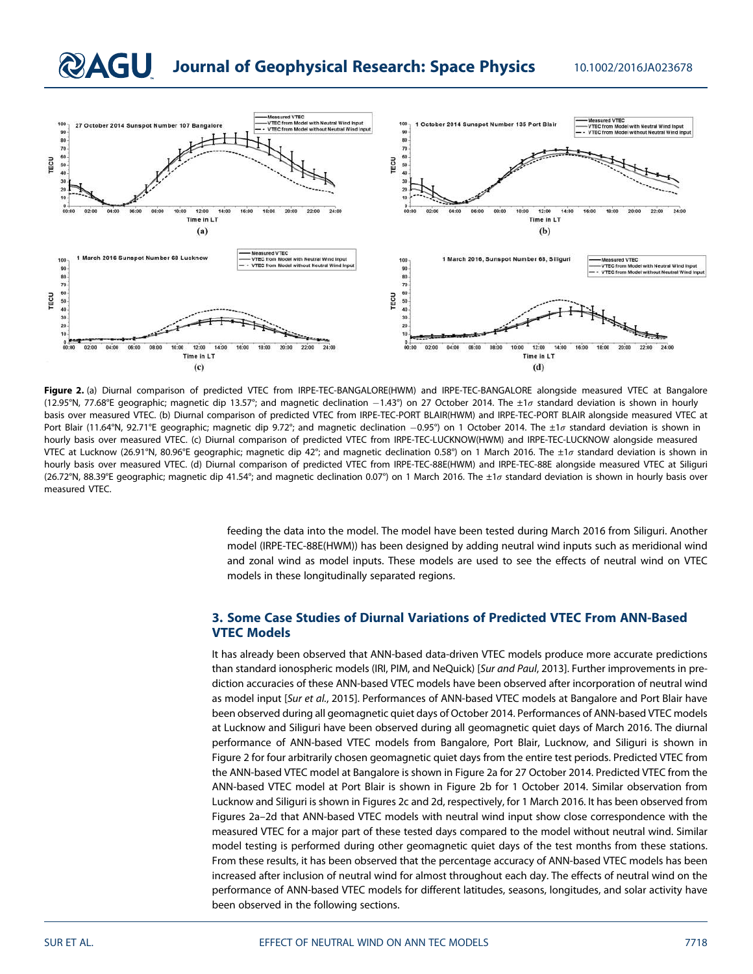# **QAGU** Journal of Geophysical Research: Space Physics 10.1002/2016JA023678



Figure 2. (a) Diurnal comparison of predicted VTEC from IRPE-TEC-BANGALORE(HWM) and IRPE-TEC-BANGALORE alongside measured VTEC at Bangalore (12.95°N, 77.68°E geographic; magnetic dip 13.57°; and magnetic declination 1.43°) on 27 October 2014. The ±1σ standard deviation is shown in hourly basis over measured VTEC. (b) Diurnal comparison of predicted VTEC from IRPE-TEC-PORT BLAIR(HWM) and IRPE-TEC-PORT BLAIR alongside measured VTEC at Port Blair (11.64°N, 92.71°E geographic; magnetic dip 9.72°; and magnetic declination -0.95°) on 1 October 2014. The ±1σ standard deviation is shown in hourly basis over measured VTEC. (c) Diurnal comparison of predicted VTEC from IRPE-TEC-LUCKNOW(HWM) and IRPE-TEC-LUCKNOW alongside measured VTEC at Lucknow (26.91°N, 80.96°E geographic; magnetic dip 42°; and magnetic declination 0.58°) on 1 March 2016. The ±1σ standard deviation is shown in hourly basis over measured VTEC. (d) Diurnal comparison of predicted VTEC from IRPE-TEC-88E(HWM) and IRPE-TEC-88E alongside measured VTEC at Siliguri (26.72°N, 88.39°E geographic; magnetic dip 41.54°; and magnetic declination 0.07°) on 1 March 2016. The  $\pm 1\sigma$  standard deviation is shown in hourly basis over measured VTEC.

feeding the data into the model. The model have been tested during March 2016 from Siliguri. Another model (IRPE-TEC-88E(HWM)) has been designed by adding neutral wind inputs such as meridional wind and zonal wind as model inputs. These models are used to see the effects of neutral wind on VTEC models in these longitudinally separated regions.

## 3. Some Case Studies of Diurnal Variations of Predicted VTEC From ANN-Based VTEC Models

It has already been observed that ANN-based data-driven VTEC models produce more accurate predictions than standard ionospheric models (IRI, PIM, and NeQuick) [*Sur and Paul*, 2013]. Further improvements in prediction accuracies of these ANN-based VTEC models have been observed after incorporation of neutral wind as model input [*Sur et al.*, 2015]. Performances of ANN-based VTEC models at Bangalore and Port Blair have been observed during all geomagnetic quiet days of October 2014. Performances of ANN-based VTEC models at Lucknow and Siliguri have been observed during all geomagnetic quiet days of March 2016. The diurnal performance of ANN-based VTEC models from Bangalore, Port Blair, Lucknow, and Siliguri is shown in Figure 2 for four arbitrarily chosen geomagnetic quiet days from the entire test periods. Predicted VTEC from the ANN-based VTEC model at Bangalore is shown in Figure 2a for 27 October 2014. Predicted VTEC from the ANN-based VTEC model at Port Blair is shown in Figure 2b for 1 October 2014. Similar observation from Lucknow and Siliguri is shown in Figures 2c and 2d, respectively, for 1 March 2016. It has been observed from Figures 2a–2d that ANN-based VTEC models with neutral wind input show close correspondence with the measured VTEC for a major part of these tested days compared to the model without neutral wind. Similar model testing is performed during other geomagnetic quiet days of the test months from these stations. From these results, it has been observed that the percentage accuracy of ANN-based VTEC models has been increased after inclusion of neutral wind for almost throughout each day. The effects of neutral wind on the performance of ANN-based VTEC models for different latitudes, seasons, longitudes, and solar activity have been observed in the following sections.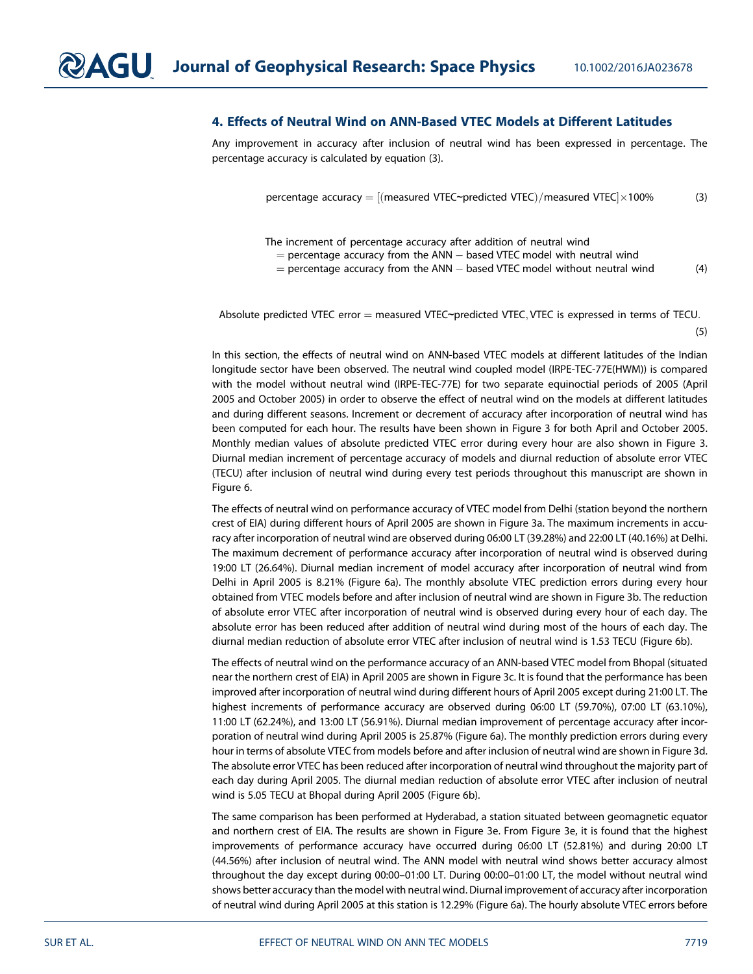## 4. Effects of Neutral Wind on ANN-Based VTEC Models at Different Latitudes

Any improvement in accuracy after inclusion of neutral wind has been expressed in percentage. The percentage accuracy is calculated by equation (3).

percentage accuracy =  $[($ measured VTEC∼predicted VTEC $)/$ measured VTEC $]\times 100\%$  (3)

The increment of percentage accuracy after addition of neutral wind  $=$  percentage accuracy from the ANN  $-$  based VTEC model with neutral wind  $=$  percentage accuracy from the ANN  $-$  based VTEC model without neutral wind  $(4)$ 

Absolute predicted VTEC error = measured VTEC∼predicted VTEC, VTEC is expressed in terms of TECU.

(5)

In this section, the effects of neutral wind on ANN-based VTEC models at different latitudes of the Indian longitude sector have been observed. The neutral wind coupled model (IRPE-TEC-77E(HWM)) is compared with the model without neutral wind (IRPE-TEC-77E) for two separate equinoctial periods of 2005 (April 2005 and October 2005) in order to observe the effect of neutral wind on the models at different latitudes and during different seasons. Increment or decrement of accuracy after incorporation of neutral wind has been computed for each hour. The results have been shown in Figure 3 for both April and October 2005. Monthly median values of absolute predicted VTEC error during every hour are also shown in Figure 3. Diurnal median increment of percentage accuracy of models and diurnal reduction of absolute error VTEC (TECU) after inclusion of neutral wind during every test periods throughout this manuscript are shown in Figure 6.

The effects of neutral wind on performance accuracy of VTEC model from Delhi (station beyond the northern crest of EIA) during different hours of April 2005 are shown in Figure 3a. The maximum increments in accuracy after incorporation of neutral wind are observed during 06:00 LT (39.28%) and 22:00 LT (40.16%) at Delhi. The maximum decrement of performance accuracy after incorporation of neutral wind is observed during 19:00 LT (26.64%). Diurnal median increment of model accuracy after incorporation of neutral wind from Delhi in April 2005 is 8.21% (Figure 6a). The monthly absolute VTEC prediction errors during every hour obtained from VTEC models before and after inclusion of neutral wind are shown in Figure 3b. The reduction of absolute error VTEC after incorporation of neutral wind is observed during every hour of each day. The absolute error has been reduced after addition of neutral wind during most of the hours of each day. The diurnal median reduction of absolute error VTEC after inclusion of neutral wind is 1.53 TECU (Figure 6b).

The effects of neutral wind on the performance accuracy of an ANN-based VTEC model from Bhopal (situated near the northern crest of EIA) in April 2005 are shown in Figure 3c. It is found that the performance has been improved after incorporation of neutral wind during different hours of April 2005 except during 21:00 LT. The highest increments of performance accuracy are observed during 06:00 LT (59.70%), 07:00 LT (63.10%), 11:00 LT (62.24%), and 13:00 LT (56.91%). Diurnal median improvement of percentage accuracy after incorporation of neutral wind during April 2005 is 25.87% (Figure 6a). The monthly prediction errors during every hour in terms of absolute VTEC from models before and after inclusion of neutral wind are shown in Figure 3d. The absolute error VTEC has been reduced after incorporation of neutral wind throughout the majority part of each day during April 2005. The diurnal median reduction of absolute error VTEC after inclusion of neutral wind is 5.05 TECU at Bhopal during April 2005 (Figure 6b).

The same comparison has been performed at Hyderabad, a station situated between geomagnetic equator and northern crest of EIA. The results are shown in Figure 3e. From Figure 3e, it is found that the highest improvements of performance accuracy have occurred during 06:00 LT (52.81%) and during 20:00 LT (44.56%) after inclusion of neutral wind. The ANN model with neutral wind shows better accuracy almost throughout the day except during 00:00–01:00 LT. During 00:00–01:00 LT, the model without neutral wind shows better accuracy than the model with neutral wind. Diurnal improvement of accuracy after incorporation of neutral wind during April 2005 at this station is 12.29% (Figure 6a). The hourly absolute VTEC errors before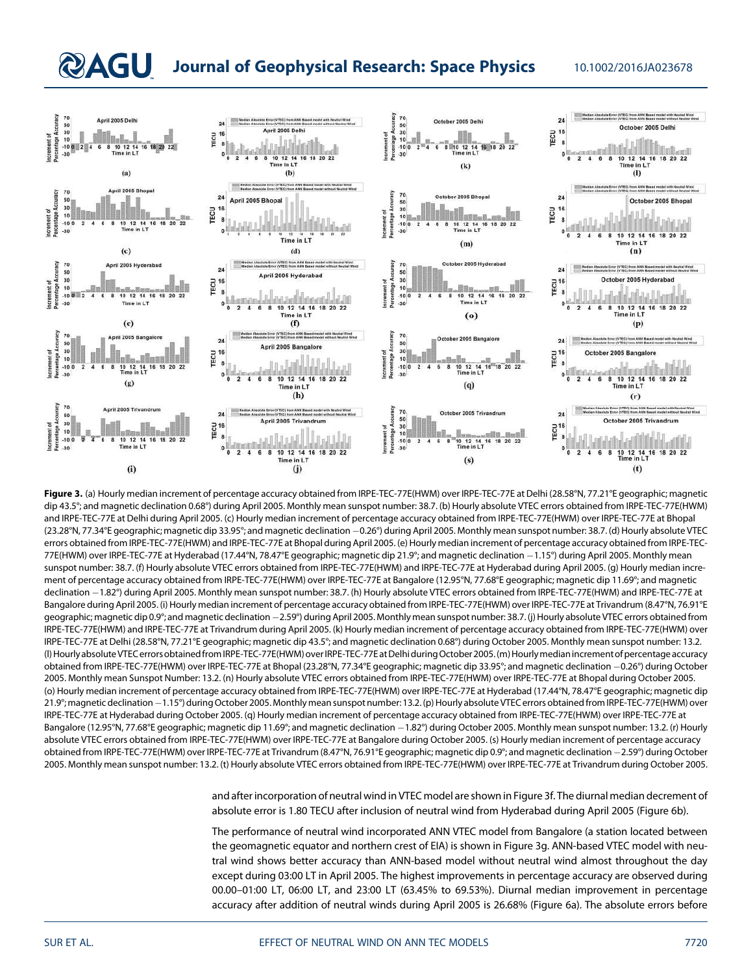# **@AGU** Journal of Geophysical Research: Space Physics 10.1002/2016JA023678



Figure 3. (a) Hourly median increment of percentage accuracy obtained from IRPE-TEC-77E(HWM) over IRPE-TEC-77E at Delhi (28.58°N, 77.21°E geographic; magnetic dip 43.5°; and magnetic declination 0.68°) during April 2005. Monthly mean sunspot number: 38.7. (b) Hourly absolute VTEC errors obtained from IRPE-TEC-77E(HWM) and IRPE-TEC-77E at Delhi during April 2005. (c) Hourly median increment of percentage accuracy obtained from IRPE-TEC-77E(HWM) over IRPE-TEC-77E at Bhopal (23.28°N, 77.34°E geographic; magnetic dip 33.95°; and magnetic declination -0.26°) during April 2005. Monthly mean sunspot number: 38.7. (d) Hourly absolute VTEC errors obtained from IRPE-TEC-77E(HWM) and IRPE-TEC-77E at Bhopal during April 2005. (e) Hourly median increment of percentage accuracy obtained from IRPE-TEC-77E(HWM) over IRPE-TEC-77E at Hyderabad (17.44°N, 78.47°E geographic; magnetic dip 21.9°; and magnetic declination -1.15°) during April 2005. Monthly mean sunspot number: 38.7. (f) Hourly absolute VTEC errors obtained from IRPE-TEC-77E(HWM) and IRPE-TEC-77E at Hyderabad during April 2005. (g) Hourly median increment of percentage accuracy obtained from IRPE-TEC-77E(HWM) over IRPE-TEC-77E at Bangalore (12.95°N, 77.68°E geographic; magnetic dip 11.69°; and magnetic declination -1.82°) during April 2005. Monthly mean sunspot number: 38.7. (h) Hourly absolute VTEC errors obtained from IRPE-TEC-77E(HWM) and IRPE-TEC-77E at Bangalore during April 2005. (i) Hourly median increment of percentage accuracy obtained from IRPE-TEC-77E(HWM) over IRPE-TEC-77E at Trivandrum (8.47°N, 76.91°E geographic; magnetic dip 0.9°; and magnetic declination -2.59°) during April 2005. Monthly mean sunspot number: 38.7. (j) Hourly absolute VTEC errors obtained from IRPE-TEC-77E(HWM) and IRPE-TEC-77E at Trivandrum during April 2005. (k) Hourly median increment of percentage accuracy obtained from IRPE-TEC-77E(HWM) over IRPE-TEC-77E at Delhi (28.58°N, 77.21°E geographic; magnetic dip 43.5°; and magnetic declination 0.68°) during October 2005. Monthly mean sunspot number: 13.2. (l)Hourlyabsolute VTEC errors obtainedfrom IRPE-TEC-77E(HWM) over IRPE-TEC-77EatDelhi duringOctober 2005.(m)Hourlymedianincrement of percentage accuracy obtained from IRPE-TEC-77E(HWM) over IRPE-TEC-77E at Bhopal (23.28°N, 77.34°E geographic; magnetic dip 33.95°; and magnetic declination 0.26°) during October 2005. Monthly mean Sunspot Number: 13.2. (n) Hourly absolute VTEC errors obtained from IRPE-TEC-77E(HWM) over IRPE-TEC-77E at Bhopal during October 2005. (o) Hourly median increment of percentage accuracy obtained from IRPE-TEC-77E(HWM) over IRPE-TEC-77E at Hyderabad (17.44°N, 78.47°E geographic; magnetic dip 21.9°; magnetic declination -1.15°) during October 2005. Monthly mean sunspot number: 13.2. (p) Hourly absolute VTEC errors obtained from IRPE-TEC-77E(HWM) over IRPE-TEC-77E at Hyderabad during October 2005. (q) Hourly median increment of percentage accuracy obtained from IRPE-TEC-77E(HWM) over IRPE-TEC-77E at Bangalore (12.95°N, 77.68°E geographic; magnetic dip 11.69°; and magnetic declination -1.82°) during October 2005. Monthly mean sunspot number: 13.2. (r) Hourly absolute VTEC errors obtained from IRPE-TEC-77E(HWM) over IRPE-TEC-77E at Bangalore during October 2005. (s) Hourly median increment of percentage accuracy obtained from IRPE-TEC-77E(HWM) over IRPE-TEC-77E at Trivandrum (8.47°N, 76.91°E geographic; magnetic dip 0.9°; and magnetic declination 2.59°) during October 2005. Monthly mean sunspot number: 13.2. (t) Hourly absolute VTEC errors obtained from IRPE-TEC-77E(HWM) over IRPE-TEC-77E at Trivandrum during October 2005.

> and after incorporation of neutral wind in VTEC model are shown in Figure 3f. The diurnal median decrement of absolute error is 1.80 TECU after inclusion of neutral wind from Hyderabad during April 2005 (Figure 6b).

> The performance of neutral wind incorporated ANN VTEC model from Bangalore (a station located between the geomagnetic equator and northern crest of EIA) is shown in Figure 3g. ANN-based VTEC model with neutral wind shows better accuracy than ANN-based model without neutral wind almost throughout the day except during 03:00 LT in April 2005. The highest improvements in percentage accuracy are observed during 00.00–01:00 LT, 06:00 LT, and 23:00 LT (63.45% to 69.53%). Diurnal median improvement in percentage accuracy after addition of neutral winds during April 2005 is 26.68% (Figure 6a). The absolute errors before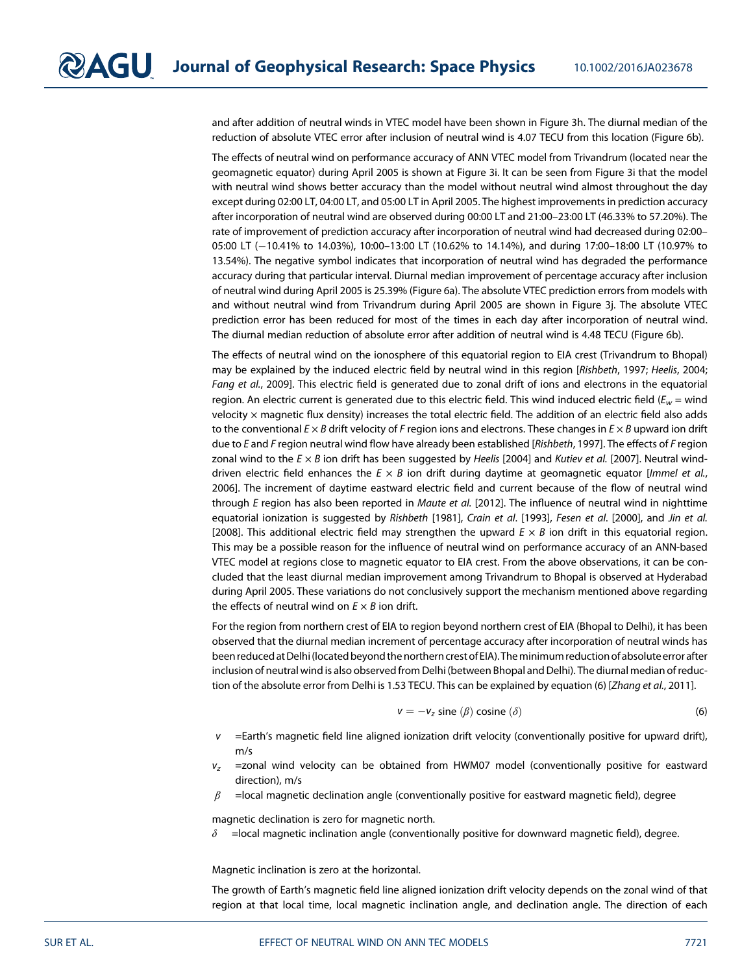and after addition of neutral winds in VTEC model have been shown in Figure 3h. The diurnal median of the reduction of absolute VTEC error after inclusion of neutral wind is 4.07 TECU from this location (Figure 6b).

The effects of neutral wind on performance accuracy of ANN VTEC model from Trivandrum (located near the geomagnetic equator) during April 2005 is shown at Figure 3i. It can be seen from Figure 3i that the model with neutral wind shows better accuracy than the model without neutral wind almost throughout the day except during 02:00 LT, 04:00 LT, and 05:00 LT in April 2005. The highest improvements in prediction accuracy after incorporation of neutral wind are observed during 00:00 LT and 21:00–23:00 LT (46.33% to 57.20%). The rate of improvement of prediction accuracy after incorporation of neutral wind had decreased during 02:00– 05:00 LT (10.41% to 14.03%), 10:00–13:00 LT (10.62% to 14.14%), and during 17:00–18:00 LT (10.97% to 13.54%). The negative symbol indicates that incorporation of neutral wind has degraded the performance accuracy during that particular interval. Diurnal median improvement of percentage accuracy after inclusion of neutral wind during April 2005 is 25.39% (Figure 6a). The absolute VTEC prediction errors from models with and without neutral wind from Trivandrum during April 2005 are shown in Figure 3j. The absolute VTEC prediction error has been reduced for most of the times in each day after incorporation of neutral wind. The diurnal median reduction of absolute error after addition of neutral wind is 4.48 TECU (Figure 6b).

The effects of neutral wind on the ionosphere of this equatorial region to EIA crest (Trivandrum to Bhopal) may be explained by the induced electric field by neutral wind in this region [*Rishbeth*, 1997; *Heelis*, 2004; *Fang et al.*, 2009]. This electric field is generated due to zonal drift of ions and electrons in the equatorial region. An electric current is generated due to this electric field. This wind induced electric field (*E<sup>w</sup>* = wind velocity × magnetic flux density) increases the total electric field. The addition of an electric field also adds to the conventional  $E \times B$  drift velocity of *F* region ions and electrons. These changes in  $E \times B$  upward ion drift due to *E* and *F* region neutral wind flow have already been established [*Rishbeth*, 1997]. The effects of *F* region zonal wind to the *E* × *B* ion drift has been suggested by *Heelis* [2004] and *Kutiev et al.* [2007]. Neutral winddriven electric field enhances the *E* × *B* ion drift during daytime at geomagnetic equator [*Immel et al.*, 2006]. The increment of daytime eastward electric field and current because of the flow of neutral wind through *E* region has also been reported in *Maute et al.* [2012]. The influence of neutral wind in nighttime equatorial ionization is suggested by *Rishbeth* [1981], *Crain et al*. [1993], *Fesen et al*. [2000], and *Jin et al.* [2008]. This additional electric field may strengthen the upward  $E \times B$  ion drift in this equatorial region. This may be a possible reason for the influence of neutral wind on performance accuracy of an ANN-based VTEC model at regions close to magnetic equator to EIA crest. From the above observations, it can be concluded that the least diurnal median improvement among Trivandrum to Bhopal is observed at Hyderabad during April 2005. These variations do not conclusively support the mechanism mentioned above regarding the effects of neutral wind on  $E \times B$  ion drift.

For the region from northern crest of EIA to region beyond northern crest of EIA (Bhopal to Delhi), it has been observed that the diurnal median increment of percentage accuracy after incorporation of neutral winds has been reduced at Delhi (located beyond the northern crest of EIA). The minimum reduction of absolute error after inclusion of neutral wind is also observed from Delhi (between Bhopal and Delhi). The diurnal median of reduction of the absolute error from Delhi is 1.53 TECU. This can be explained by equation (6) [*Zhang et al.*, 2011].

$$
v = -v_z \text{ sine } (\beta) \text{ cosine } (\delta) \tag{6}
$$

- *v* =Earth's magnetic field line aligned ionization drift velocity (conventionally positive for upward drift), m/s
- *v<sup>z</sup>* =zonal wind velocity can be obtained from HWM07 model (conventionally positive for eastward direction), m/s
- $\beta$  =local magnetic declination angle (conventionally positive for eastward magnetic field), degree

magnetic declination is zero for magnetic north.

 $\delta$  =local magnetic inclination angle (conventionally positive for downward magnetic field), degree.

Magnetic inclination is zero at the horizontal.

The growth of Earth's magnetic field line aligned ionization drift velocity depends on the zonal wind of that region at that local time, local magnetic inclination angle, and declination angle. The direction of each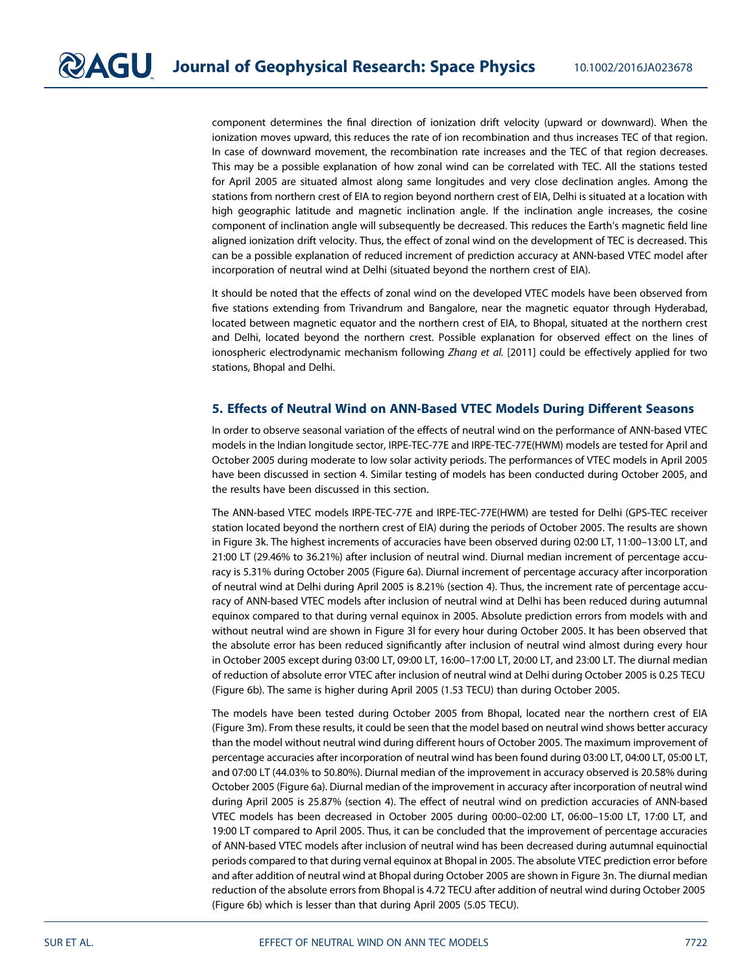component determines the final direction of ionization drift velocity (upward or downward). When the ionization moves upward, this reduces the rate of ion recombination and thus increases TEC of that region. In case of downward movement, the recombination rate increases and the TEC of that region decreases. This may be a possible explanation of how zonal wind can be correlated with TEC. All the stations tested for April 2005 are situated almost along same longitudes and very close declination angles. Among the stations from northern crest of EIA to region beyond northern crest of EIA, Delhi is situated at a location with high geographic latitude and magnetic inclination angle. If the inclination angle increases, the cosine component of inclination angle will subsequently be decreased. This reduces the Earth's magnetic field line aligned ionization drift velocity. Thus, the effect of zonal wind on the development of TEC is decreased. This can be a possible explanation of reduced increment of prediction accuracy at ANN-based VTEC model after incorporation of neutral wind at Delhi (situated beyond the northern crest of EIA).

It should be noted that the effects of zonal wind on the developed VTEC models have been observed from five stations extending from Trivandrum and Bangalore, near the magnetic equator through Hyderabad, located between magnetic equator and the northern crest of EIA, to Bhopal, situated at the northern crest and Delhi, located beyond the northern crest. Possible explanation for observed effect on the lines of ionospheric electrodynamic mechanism following *Zhang et al.* [2011] could be effectively applied for two stations, Bhopal and Delhi.

#### 5. Effects of Neutral Wind on ANN-Based VTEC Models During Different Seasons

In order to observe seasonal variation of the effects of neutral wind on the performance of ANN-based VTEC models in the Indian longitude sector, IRPE-TEC-77E and IRPE-TEC-77E(HWM) models are tested for April and October 2005 during moderate to low solar activity periods. The performances of VTEC models in April 2005 have been discussed in section 4. Similar testing of models has been conducted during October 2005, and the results have been discussed in this section.

The ANN-based VTEC models IRPE-TEC-77E and IRPE-TEC-77E(HWM) are tested for Delhi (GPS-TEC receiver station located beyond the northern crest of EIA) during the periods of October 2005. The results are shown in Figure 3k. The highest increments of accuracies have been observed during 02:00 LT, 11:00–13:00 LT, and 21:00 LT (29.46% to 36.21%) after inclusion of neutral wind. Diurnal median increment of percentage accuracy is 5.31% during October 2005 (Figure 6a). Diurnal increment of percentage accuracy after incorporation of neutral wind at Delhi during April 2005 is 8.21% (section 4). Thus, the increment rate of percentage accuracy of ANN-based VTEC models after inclusion of neutral wind at Delhi has been reduced during autumnal equinox compared to that during vernal equinox in 2005. Absolute prediction errors from models with and without neutral wind are shown in Figure 3l for every hour during October 2005. It has been observed that the absolute error has been reduced significantly after inclusion of neutral wind almost during every hour in October 2005 except during 03:00 LT, 09:00 LT, 16:00–17:00 LT, 20:00 LT, and 23:00 LT. The diurnal median of reduction of absolute error VTEC after inclusion of neutral wind at Delhi during October 2005 is 0.25 TECU (Figure 6b). The same is higher during April 2005 (1.53 TECU) than during October 2005.

The models have been tested during October 2005 from Bhopal, located near the northern crest of EIA (Figure 3m). From these results, it could be seen that the model based on neutral wind shows better accuracy than the model without neutral wind during different hours of October 2005. The maximum improvement of percentage accuracies after incorporation of neutral wind has been found during 03:00 LT, 04:00 LT, 05:00 LT, and 07:00 LT (44.03% to 50.80%). Diurnal median of the improvement in accuracy observed is 20.58% during October 2005 (Figure 6a). Diurnal median of the improvement in accuracy after incorporation of neutral wind during April 2005 is 25.87% (section 4). The effect of neutral wind on prediction accuracies of ANN-based VTEC models has been decreased in October 2005 during 00:00–02:00 LT, 06:00–15:00 LT, 17:00 LT, and 19:00 LT compared to April 2005. Thus, it can be concluded that the improvement of percentage accuracies of ANN-based VTEC models after inclusion of neutral wind has been decreased during autumnal equinoctial periods compared to that during vernal equinox at Bhopal in 2005. The absolute VTEC prediction error before and after addition of neutral wind at Bhopal during October 2005 are shown in Figure 3n. The diurnal median reduction of the absolute errors from Bhopal is 4.72 TECU after addition of neutral wind during October 2005 (Figure 6b) which is lesser than that during April 2005 (5.05 TECU).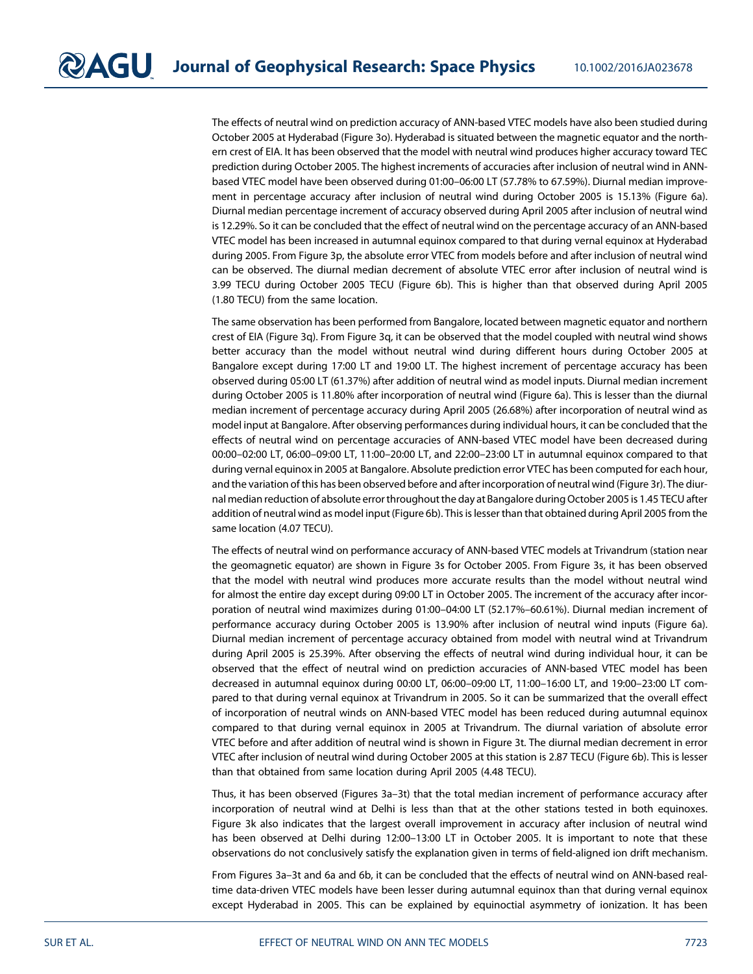The effects of neutral wind on prediction accuracy of ANN-based VTEC models have also been studied during October 2005 at Hyderabad (Figure 3o). Hyderabad is situated between the magnetic equator and the northern crest of EIA. It has been observed that the model with neutral wind produces higher accuracy toward TEC prediction during October 2005. The highest increments of accuracies after inclusion of neutral wind in ANNbased VTEC model have been observed during 01:00–06:00 LT (57.78% to 67.59%). Diurnal median improvement in percentage accuracy after inclusion of neutral wind during October 2005 is 15.13% (Figure 6a). Diurnal median percentage increment of accuracy observed during April 2005 after inclusion of neutral wind is 12.29%. So it can be concluded that the effect of neutral wind on the percentage accuracy of an ANN-based VTEC model has been increased in autumnal equinox compared to that during vernal equinox at Hyderabad during 2005. From Figure 3p, the absolute error VTEC from models before and after inclusion of neutral wind can be observed. The diurnal median decrement of absolute VTEC error after inclusion of neutral wind is 3.99 TECU during October 2005 TECU (Figure 6b). This is higher than that observed during April 2005 (1.80 TECU) from the same location.

The same observation has been performed from Bangalore, located between magnetic equator and northern crest of EIA (Figure 3q). From Figure 3q, it can be observed that the model coupled with neutral wind shows better accuracy than the model without neutral wind during different hours during October 2005 at Bangalore except during 17:00 LT and 19:00 LT. The highest increment of percentage accuracy has been observed during 05:00 LT (61.37%) after addition of neutral wind as model inputs. Diurnal median increment during October 2005 is 11.80% after incorporation of neutral wind (Figure 6a). This is lesser than the diurnal median increment of percentage accuracy during April 2005 (26.68%) after incorporation of neutral wind as model input at Bangalore. After observing performances during individual hours, it can be concluded that the effects of neutral wind on percentage accuracies of ANN-based VTEC model have been decreased during 00:00–02:00 LT, 06:00–09:00 LT, 11:00–20:00 LT, and 22:00–23:00 LT in autumnal equinox compared to that during vernal equinox in 2005 at Bangalore. Absolute prediction error VTEC has been computed for each hour, and the variation of this has been observed before and after incorporation of neutral wind (Figure 3r). The diurnal median reduction of absolute error throughout the day at Bangalore during October 2005 is 1.45 TECU after addition of neutral wind as model input (Figure 6b). This is lesser than that obtained during April 2005 from the same location (4.07 TECU).

The effects of neutral wind on performance accuracy of ANN-based VTEC models at Trivandrum (station near the geomagnetic equator) are shown in Figure 3s for October 2005. From Figure 3s, it has been observed that the model with neutral wind produces more accurate results than the model without neutral wind for almost the entire day except during 09:00 LT in October 2005. The increment of the accuracy after incorporation of neutral wind maximizes during 01:00–04:00 LT (52.17%–60.61%). Diurnal median increment of performance accuracy during October 2005 is 13.90% after inclusion of neutral wind inputs (Figure 6a). Diurnal median increment of percentage accuracy obtained from model with neutral wind at Trivandrum during April 2005 is 25.39%. After observing the effects of neutral wind during individual hour, it can be observed that the effect of neutral wind on prediction accuracies of ANN-based VTEC model has been decreased in autumnal equinox during 00:00 LT, 06:00–09:00 LT, 11:00–16:00 LT, and 19:00–23:00 LT compared to that during vernal equinox at Trivandrum in 2005. So it can be summarized that the overall effect of incorporation of neutral winds on ANN-based VTEC model has been reduced during autumnal equinox compared to that during vernal equinox in 2005 at Trivandrum. The diurnal variation of absolute error VTEC before and after addition of neutral wind is shown in Figure 3t. The diurnal median decrement in error VTEC after inclusion of neutral wind during October 2005 at this station is 2.87 TECU (Figure 6b). This is lesser than that obtained from same location during April 2005 (4.48 TECU).

Thus, it has been observed (Figures 3a–3t) that the total median increment of performance accuracy after incorporation of neutral wind at Delhi is less than that at the other stations tested in both equinoxes. Figure 3k also indicates that the largest overall improvement in accuracy after inclusion of neutral wind has been observed at Delhi during 12:00–13:00 LT in October 2005. It is important to note that these observations do not conclusively satisfy the explanation given in terms of field-aligned ion drift mechanism.

From Figures 3a–3t and 6a and 6b, it can be concluded that the effects of neutral wind on ANN-based realtime data-driven VTEC models have been lesser during autumnal equinox than that during vernal equinox except Hyderabad in 2005. This can be explained by equinoctial asymmetry of ionization. It has been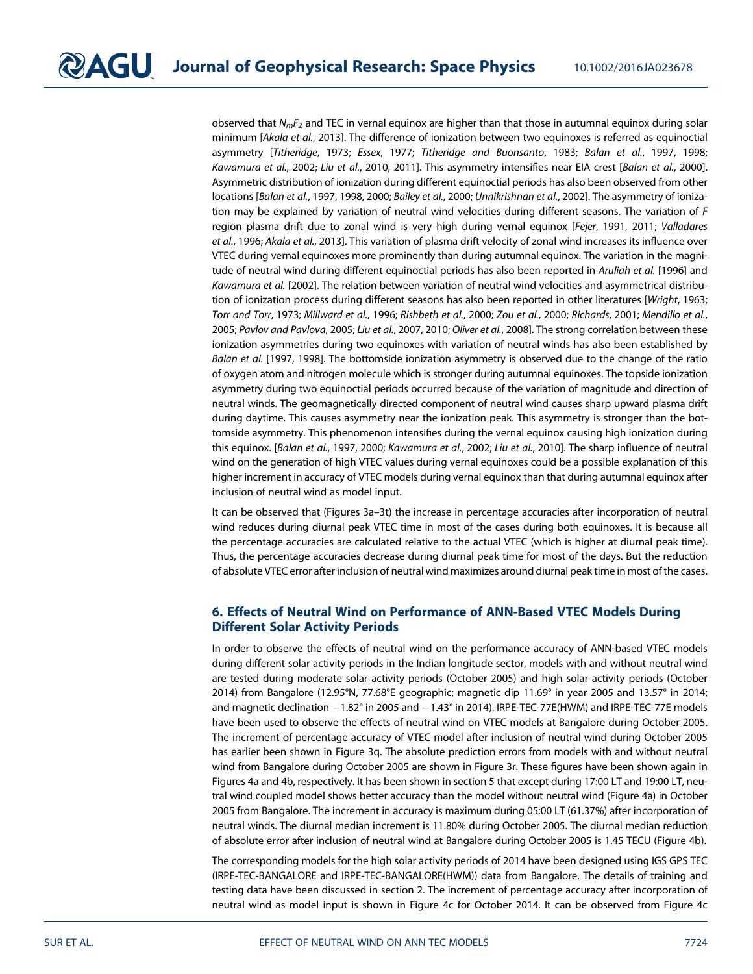observed that *NmF*<sup>2</sup> and TEC in vernal equinox are higher than that those in autumnal equinox during solar minimum [*Akala et al.*, 2013]. The difference of ionization between two equinoxes is referred as equinoctial asymmetry [*Titheridge*, 1973; *Essex*, 1977; *Titheridge and Buonsanto*, 1983; *Balan et al.*, 1997, 1998; *Kawamura et al.*, 2002; *Liu et al.*, 2010, 2011]. This asymmetry intensifies near EIA crest [*Balan et al.*, 2000]. Asymmetric distribution of ionization during different equinoctial periods has also been observed from other locations [*Balan et al.*, 1997, 1998, 2000; *Bailey et al.*, 2000; *Unnikrishnan et al.*, 2002]. The asymmetry of ionization may be explained by variation of neutral wind velocities during different seasons. The variation of *F* region plasma drift due to zonal wind is very high during vernal equinox [*Fejer*, 1991, 2011; *Valladares et al.*, 1996; *Akala et al.*, 2013]. This variation of plasma drift velocity of zonal wind increases its influence over VTEC during vernal equinoxes more prominently than during autumnal equinox. The variation in the magnitude of neutral wind during different equinoctial periods has also been reported in *Aruliah et al.* [1996] and *Kawamura et al.* [2002]. The relation between variation of neutral wind velocities and asymmetrical distribution of ionization process during different seasons has also been reported in other literatures [*Wright*, 1963; *Torr and Torr*, 1973; *Millward et al.*, 1996; *Rishbeth et al.*, 2000; *Zou et al.*, 2000; *Richards*, 2001; *Mendillo et al.*, 2005; *Pavlov and Pavlova*, 2005; *Liu et al.*, 2007, 2010; *Oliver et al.*, 2008]. The strong correlation between these ionization asymmetries during two equinoxes with variation of neutral winds has also been established by *Balan et al.* [1997, 1998]. The bottomside ionization asymmetry is observed due to the change of the ratio of oxygen atom and nitrogen molecule which is stronger during autumnal equinoxes. The topside ionization asymmetry during two equinoctial periods occurred because of the variation of magnitude and direction of neutral winds. The geomagnetically directed component of neutral wind causes sharp upward plasma drift during daytime. This causes asymmetry near the ionization peak. This asymmetry is stronger than the bottomside asymmetry. This phenomenon intensifies during the vernal equinox causing high ionization during this equinox. [*Balan et al.*, 1997, 2000; *Kawamura et al.*, 2002; *Liu et al.*, 2010]. The sharp influence of neutral wind on the generation of high VTEC values during vernal equinoxes could be a possible explanation of this higher increment in accuracy of VTEC models during vernal equinox than that during autumnal equinox after inclusion of neutral wind as model input.

It can be observed that (Figures 3a–3t) the increase in percentage accuracies after incorporation of neutral wind reduces during diurnal peak VTEC time in most of the cases during both equinoxes. It is because all the percentage accuracies are calculated relative to the actual VTEC (which is higher at diurnal peak time). Thus, the percentage accuracies decrease during diurnal peak time for most of the days. But the reduction of absolute VTEC error after inclusion of neutral wind maximizes around diurnal peak time in most of the cases.

## 6. Effects of Neutral Wind on Performance of ANN-Based VTEC Models During Different Solar Activity Periods

In order to observe the effects of neutral wind on the performance accuracy of ANN-based VTEC models during different solar activity periods in the Indian longitude sector, models with and without neutral wind are tested during moderate solar activity periods (October 2005) and high solar activity periods (October 2014) from Bangalore (12.95°N, 77.68°E geographic; magnetic dip 11.69° in year 2005 and 13.57° in 2014; and magnetic declination  $-1.82^\circ$  in 2005 and  $-1.43^\circ$  in 2014). IRPE-TEC-77E(HWM) and IRPE-TEC-77E models have been used to observe the effects of neutral wind on VTEC models at Bangalore during October 2005. The increment of percentage accuracy of VTEC model after inclusion of neutral wind during October 2005 has earlier been shown in Figure 3q. The absolute prediction errors from models with and without neutral wind from Bangalore during October 2005 are shown in Figure 3r. These figures have been shown again in Figures 4a and 4b, respectively. It has been shown in section 5 that except during 17:00 LT and 19:00 LT, neutral wind coupled model shows better accuracy than the model without neutral wind (Figure 4a) in October 2005 from Bangalore. The increment in accuracy is maximum during 05:00 LT (61.37%) after incorporation of neutral winds. The diurnal median increment is 11.80% during October 2005. The diurnal median reduction of absolute error after inclusion of neutral wind at Bangalore during October 2005 is 1.45 TECU (Figure 4b).

The corresponding models for the high solar activity periods of 2014 have been designed using IGS GPS TEC (IRPE-TEC-BANGALORE and IRPE-TEC-BANGALORE(HWM)) data from Bangalore. The details of training and testing data have been discussed in section 2. The increment of percentage accuracy after incorporation of neutral wind as model input is shown in Figure 4c for October 2014. It can be observed from Figure 4c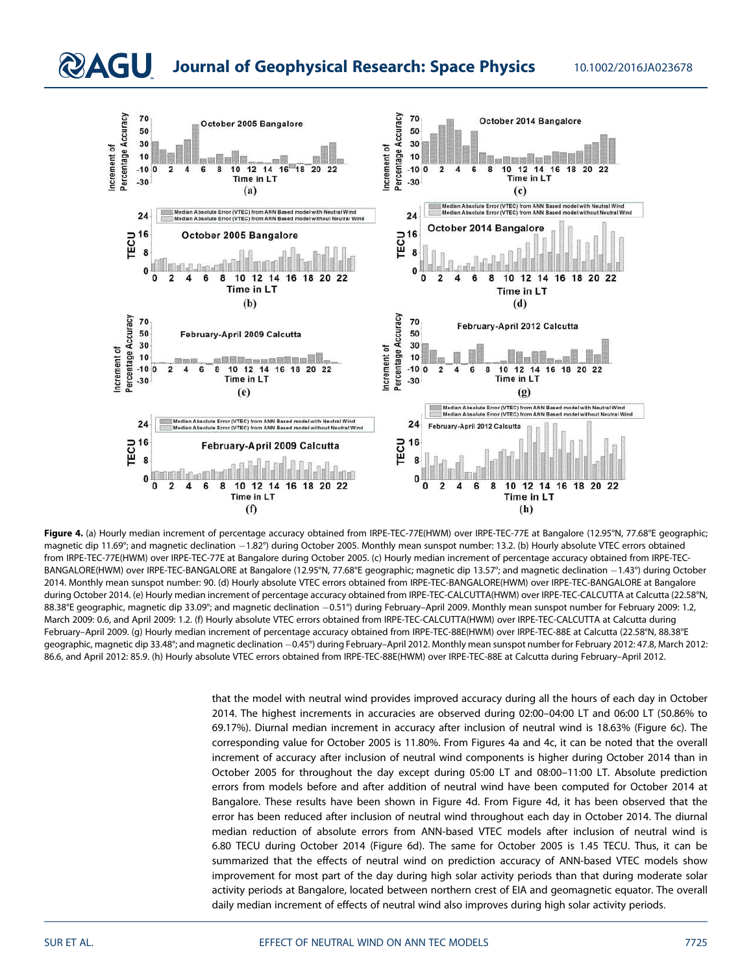

Figure 4. (a) Hourly median increment of percentage accuracy obtained from IRPE-TEC-77E(HWM) over IRPE-TEC-77E at Bangalore (12.95°N, 77.68°E geographic; magnetic dip 11.69°; and magnetic declination -1.82°) during October 2005. Monthly mean sunspot number: 13.2. (b) Hourly absolute VTEC errors obtained from IRPE-TEC-77E(HWM) over IRPE-TEC-77E at Bangalore during October 2005. (c) Hourly median increment of percentage accuracy obtained from IRPE-TEC-BANGALORE(HWM) over IRPE-TEC-BANGALORE at Bangalore (12.95°N, 77.68°E geographic; magnetic dip 13.57°; and magnetic declination -1.43°) during October 2014. Monthly mean sunspot number: 90. (d) Hourly absolute VTEC errors obtained from IRPE-TEC-BANGALORE(HWM) over IRPE-TEC-BANGALORE at Bangalore during October 2014. (e) Hourly median increment of percentage accuracy obtained from IRPE-TEC-CALCUTTA(HWM) over IRPE-TEC-CALCUTTA at Calcutta (22.58°N, 88.38°E geographic, magnetic dip 33.09°; and magnetic declination -0.51°) during February-April 2009. Monthly mean sunspot number for February 2009: 1.2, March 2009: 0.6, and April 2009: 1.2. (f) Hourly absolute VTEC errors obtained from IRPE-TEC-CALCUTTA(HWM) over IRPE-TEC-CALCUTTA at Calcutta during February–April 2009. (g) Hourly median increment of percentage accuracy obtained from IRPE-TEC-88E(HWM) over IRPE-TEC-88E at Calcutta (22.58°N, 88.38°E geographic, magnetic dip 33.48°; and magnetic declination -0.45°) during February-April 2012. Monthly mean sunspot number for February 2012: 47.8, March 2012: 86.6, and April 2012: 85.9. (h) Hourly absolute VTEC errors obtained from IRPE-TEC-88E(HWM) over IRPE-TEC-88E at Calcutta during February–April 2012.

that the model with neutral wind provides improved accuracy during all the hours of each day in October 2014. The highest increments in accuracies are observed during 02:00–04:00 LT and 06:00 LT (50.86% to 69.17%). Diurnal median increment in accuracy after inclusion of neutral wind is 18.63% (Figure 6c). The corresponding value for October 2005 is 11.80%. From Figures 4a and 4c, it can be noted that the overall increment of accuracy after inclusion of neutral wind components is higher during October 2014 than in October 2005 for throughout the day except during 05:00 LT and 08:00–11:00 LT. Absolute prediction errors from models before and after addition of neutral wind have been computed for October 2014 at Bangalore. These results have been shown in Figure 4d. From Figure 4d, it has been observed that the error has been reduced after inclusion of neutral wind throughout each day in October 2014. The diurnal median reduction of absolute errors from ANN-based VTEC models after inclusion of neutral wind is 6.80 TECU during October 2014 (Figure 6d). The same for October 2005 is 1.45 TECU. Thus, it can be summarized that the effects of neutral wind on prediction accuracy of ANN-based VTEC models show improvement for most part of the day during high solar activity periods than that during moderate solar activity periods at Bangalore, located between northern crest of EIA and geomagnetic equator. The overall daily median increment of effects of neutral wind also improves during high solar activity periods.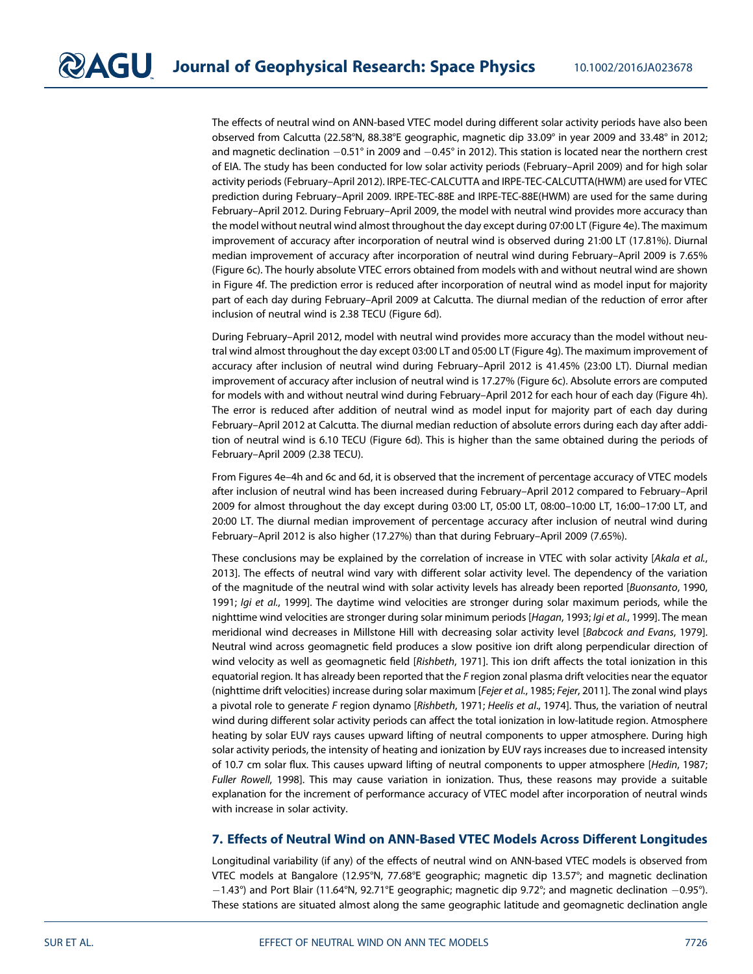The effects of neutral wind on ANN-based VTEC model during different solar activity periods have also been observed from Calcutta (22.58°N, 88.38°E geographic, magnetic dip 33.09° in year 2009 and 33.48° in 2012; and magnetic declination  $-0.51^\circ$  in 2009 and  $-0.45^\circ$  in 2012). This station is located near the northern crest of EIA. The study has been conducted for low solar activity periods (February–April 2009) and for high solar activity periods (February–April 2012). IRPE-TEC-CALCUTTA and IRPE-TEC-CALCUTTA(HWM) are used for VTEC prediction during February–April 2009. IRPE-TEC-88E and IRPE-TEC-88E(HWM) are used for the same during February–April 2012. During February–April 2009, the model with neutral wind provides more accuracy than the model without neutral wind almost throughout the day except during 07:00 LT (Figure 4e). The maximum improvement of accuracy after incorporation of neutral wind is observed during 21:00 LT (17.81%). Diurnal median improvement of accuracy after incorporation of neutral wind during February–April 2009 is 7.65% (Figure 6c). The hourly absolute VTEC errors obtained from models with and without neutral wind are shown in Figure 4f. The prediction error is reduced after incorporation of neutral wind as model input for majority part of each day during February–April 2009 at Calcutta. The diurnal median of the reduction of error after inclusion of neutral wind is 2.38 TECU (Figure 6d).

During February–April 2012, model with neutral wind provides more accuracy than the model without neutral wind almost throughout the day except 03:00 LT and 05:00 LT (Figure 4g). The maximum improvement of accuracy after inclusion of neutral wind during February–April 2012 is 41.45% (23:00 LT). Diurnal median improvement of accuracy after inclusion of neutral wind is 17.27% (Figure 6c). Absolute errors are computed for models with and without neutral wind during February–April 2012 for each hour of each day (Figure 4h). The error is reduced after addition of neutral wind as model input for majority part of each day during February–April 2012 at Calcutta. The diurnal median reduction of absolute errors during each day after addition of neutral wind is 6.10 TECU (Figure 6d). This is higher than the same obtained during the periods of February–April 2009 (2.38 TECU).

From Figures 4e–4h and 6c and 6d, it is observed that the increment of percentage accuracy of VTEC models after inclusion of neutral wind has been increased during February–April 2012 compared to February–April 2009 for almost throughout the day except during 03:00 LT, 05:00 LT, 08:00–10:00 LT, 16:00–17:00 LT, and 20:00 LT. The diurnal median improvement of percentage accuracy after inclusion of neutral wind during February–April 2012 is also higher (17.27%) than that during February–April 2009 (7.65%).

These conclusions may be explained by the correlation of increase in VTEC with solar activity [*Akala et al.*, 2013]. The effects of neutral wind vary with different solar activity level. The dependency of the variation of the magnitude of the neutral wind with solar activity levels has already been reported [*Buonsanto*, 1990, 1991; *Igi et al.*, 1999]. The daytime wind velocities are stronger during solar maximum periods, while the nighttime wind velocities are stronger during solar minimum periods [*Hagan*, 1993; *Igi et al.*, 1999]. The mean meridional wind decreases in Millstone Hill with decreasing solar activity level [*Babcock and Evans*, 1979]. Neutral wind across geomagnetic field produces a slow positive ion drift along perpendicular direction of wind velocity as well as geomagnetic field [*Rishbeth*, 1971]. This ion drift affects the total ionization in this equatorial region. It has already been reported that the *F* region zonal plasma drift velocities near the equator (nighttime drift velocities) increase during solar maximum [*Fejer et al.*, 1985; *Fejer*, 2011]. The zonal wind plays a pivotal role to generate *F* region dynamo [*Rishbeth*, 1971; *Heelis et al*., 1974]. Thus, the variation of neutral wind during different solar activity periods can affect the total ionization in low-latitude region. Atmosphere heating by solar EUV rays causes upward lifting of neutral components to upper atmosphere. During high solar activity periods, the intensity of heating and ionization by EUV rays increases due to increased intensity of 10.7 cm solar flux. This causes upward lifting of neutral components to upper atmosphere [*Hedin*, 1987; *Fuller Rowell*, 1998]. This may cause variation in ionization. Thus, these reasons may provide a suitable explanation for the increment of performance accuracy of VTEC model after incorporation of neutral winds with increase in solar activity.

#### 7. Effects of Neutral Wind on ANN-Based VTEC Models Across Different Longitudes

Longitudinal variability (if any) of the effects of neutral wind on ANN-based VTEC models is observed from VTEC models at Bangalore (12.95°N, 77.68°E geographic; magnetic dip 13.57°; and magnetic declination  $-1.43^{\circ}$ ) and Port Blair (11.64°N, 92.71°E geographic; magnetic dip 9.72°; and magnetic declination  $-0.95^{\circ}$ ). These stations are situated almost along the same geographic latitude and geomagnetic declination angle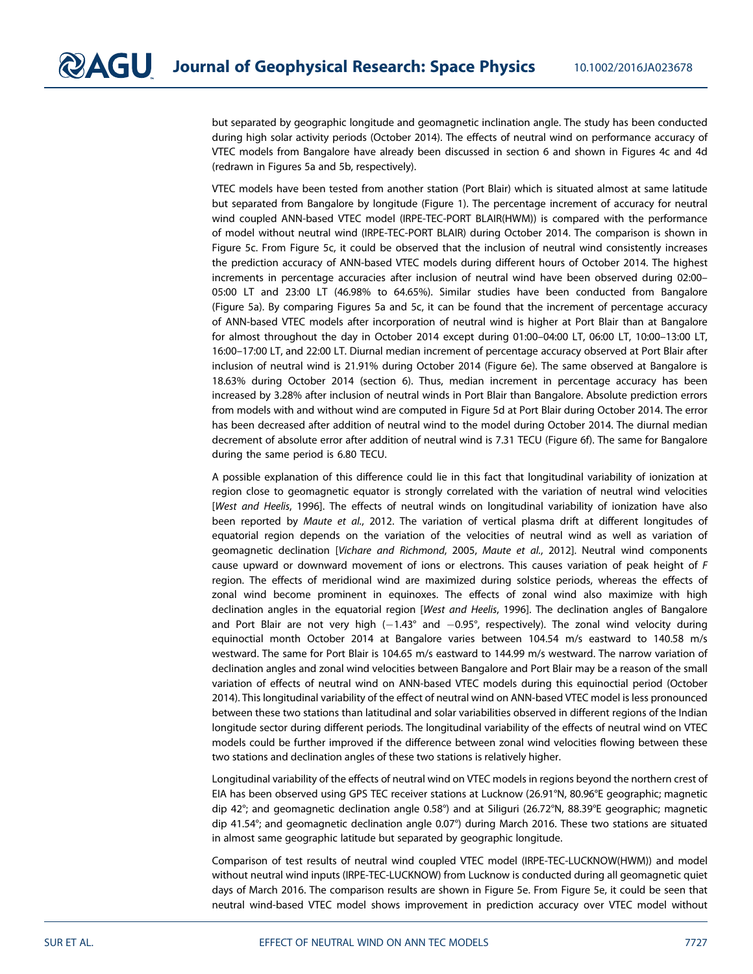but separated by geographic longitude and geomagnetic inclination angle. The study has been conducted during high solar activity periods (October 2014). The effects of neutral wind on performance accuracy of VTEC models from Bangalore have already been discussed in section 6 and shown in Figures 4c and 4d (redrawn in Figures 5a and 5b, respectively).

VTEC models have been tested from another station (Port Blair) which is situated almost at same latitude but separated from Bangalore by longitude (Figure 1). The percentage increment of accuracy for neutral wind coupled ANN-based VTEC model (IRPE-TEC-PORT BLAIR(HWM)) is compared with the performance of model without neutral wind (IRPE-TEC-PORT BLAIR) during October 2014. The comparison is shown in Figure 5c. From Figure 5c, it could be observed that the inclusion of neutral wind consistently increases the prediction accuracy of ANN-based VTEC models during different hours of October 2014. The highest increments in percentage accuracies after inclusion of neutral wind have been observed during 02:00– 05:00 LT and 23:00 LT (46.98% to 64.65%). Similar studies have been conducted from Bangalore (Figure 5a). By comparing Figures 5a and 5c, it can be found that the increment of percentage accuracy of ANN-based VTEC models after incorporation of neutral wind is higher at Port Blair than at Bangalore for almost throughout the day in October 2014 except during 01:00–04:00 LT, 06:00 LT, 10:00–13:00 LT, 16:00–17:00 LT, and 22:00 LT. Diurnal median increment of percentage accuracy observed at Port Blair after inclusion of neutral wind is 21.91% during October 2014 (Figure 6e). The same observed at Bangalore is 18.63% during October 2014 (section 6). Thus, median increment in percentage accuracy has been increased by 3.28% after inclusion of neutral winds in Port Blair than Bangalore. Absolute prediction errors from models with and without wind are computed in Figure 5d at Port Blair during October 2014. The error has been decreased after addition of neutral wind to the model during October 2014. The diurnal median decrement of absolute error after addition of neutral wind is 7.31 TECU (Figure 6f). The same for Bangalore during the same period is 6.80 TECU.

A possible explanation of this difference could lie in this fact that longitudinal variability of ionization at region close to geomagnetic equator is strongly correlated with the variation of neutral wind velocities [*West and Heelis*, 1996]. The effects of neutral winds on longitudinal variability of ionization have also been reported by *Maute et al.*, 2012. The variation of vertical plasma drift at different longitudes of equatorial region depends on the variation of the velocities of neutral wind as well as variation of geomagnetic declination [*Vichare and Richmond*, 2005, *Maute et al.*, 2012]. Neutral wind components cause upward or downward movement of ions or electrons. This causes variation of peak height of *F* region. The effects of meridional wind are maximized during solstice periods, whereas the effects of zonal wind become prominent in equinoxes. The effects of zonal wind also maximize with high declination angles in the equatorial region [*West and Heelis*, 1996]. The declination angles of Bangalore and Port Blair are not very high  $(-1.43°$  and  $-0.95°$ , respectively). The zonal wind velocity during equinoctial month October 2014 at Bangalore varies between 104.54 m/s eastward to 140.58 m/s westward. The same for Port Blair is 104.65 m/s eastward to 144.99 m/s westward. The narrow variation of declination angles and zonal wind velocities between Bangalore and Port Blair may be a reason of the small variation of effects of neutral wind on ANN-based VTEC models during this equinoctial period (October 2014). This longitudinal variability of the effect of neutral wind on ANN-based VTEC model is less pronounced between these two stations than latitudinal and solar variabilities observed in different regions of the Indian longitude sector during different periods. The longitudinal variability of the effects of neutral wind on VTEC models could be further improved if the difference between zonal wind velocities flowing between these two stations and declination angles of these two stations is relatively higher.

Longitudinal variability of the effects of neutral wind on VTEC models in regions beyond the northern crest of EIA has been observed using GPS TEC receiver stations at Lucknow (26.91°N, 80.96°E geographic; magnetic dip 42°; and geomagnetic declination angle 0.58°) and at Siliguri (26.72°N, 88.39°E geographic; magnetic dip 41.54°; and geomagnetic declination angle 0.07°) during March 2016. These two stations are situated in almost same geographic latitude but separated by geographic longitude.

Comparison of test results of neutral wind coupled VTEC model (IRPE-TEC-LUCKNOW(HWM)) and model without neutral wind inputs (IRPE-TEC-LUCKNOW) from Lucknow is conducted during all geomagnetic quiet days of March 2016. The comparison results are shown in Figure 5e. From Figure 5e, it could be seen that neutral wind-based VTEC model shows improvement in prediction accuracy over VTEC model without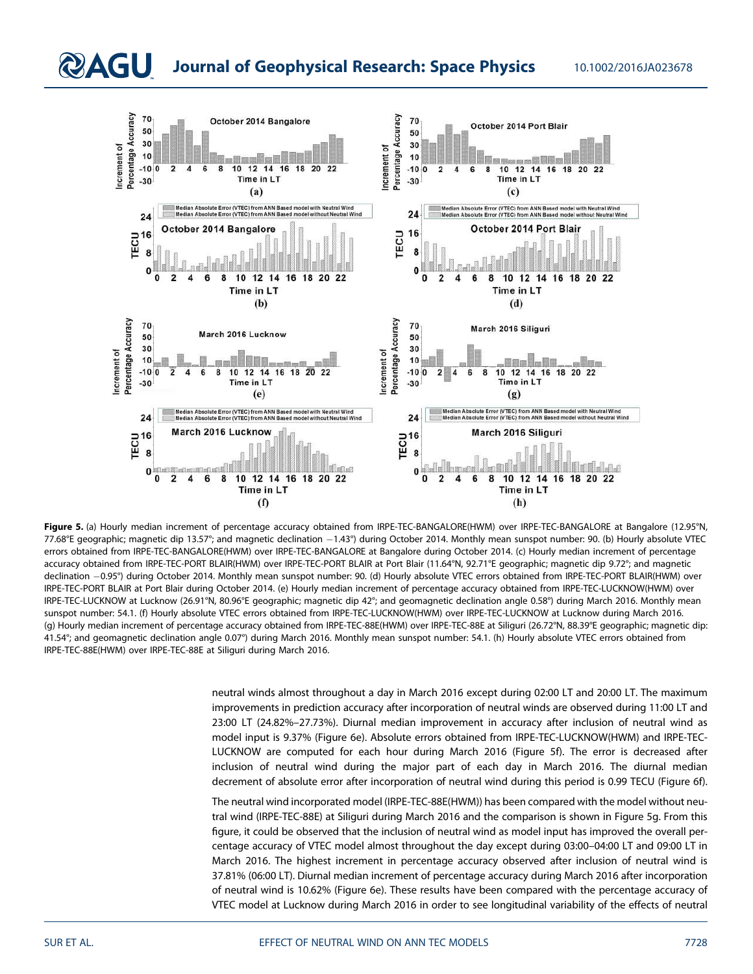

Figure 5. (a) Hourly median increment of percentage accuracy obtained from IRPE-TEC-BANGALORE(HWM) over IRPE-TEC-BANGALORE at Bangalore (12.95°N, 77.68°E geographic; magnetic dip 13.57°; and magnetic declination -1.43°) during October 2014. Monthly mean sunspot number: 90. (b) Hourly absolute VTEC errors obtained from IRPE-TEC-BANGALORE(HWM) over IRPE-TEC-BANGALORE at Bangalore during October 2014. (c) Hourly median increment of percentage accuracy obtained from IRPE-TEC-PORT BLAIR(HWM) over IRPE-TEC-PORT BLAIR at Port Blair (11.64°N, 92.71°E geographic; magnetic dip 9.72°; and magnetic declination -0.95°) during October 2014. Monthly mean sunspot number: 90. (d) Hourly absolute VTEC errors obtained from IRPE-TEC-PORT BLAIR(HWM) over IRPE-TEC-PORT BLAIR at Port Blair during October 2014. (e) Hourly median increment of percentage accuracy obtained from IRPE-TEC-LUCKNOW(HWM) over IRPE-TEC-LUCKNOW at Lucknow (26.91°N, 80.96°E geographic; magnetic dip 42°; and geomagnetic declination angle 0.58°) during March 2016. Monthly mean sunspot number: 54.1. (f) Hourly absolute VTEC errors obtained from IRPE-TEC-LUCKNOW(HWM) over IRPE-TEC-LUCKNOW at Lucknow during March 2016. (g) Hourly median increment of percentage accuracy obtained from IRPE-TEC-88E(HWM) over IRPE-TEC-88E at Siliguri (26.72°N, 88.39°E geographic; magnetic dip: 41.54°; and geomagnetic declination angle 0.07°) during March 2016. Monthly mean sunspot number: 54.1. (h) Hourly absolute VTEC errors obtained from IRPE-TEC-88E(HWM) over IRPE-TEC-88E at Siliguri during March 2016.

neutral winds almost throughout a day in March 2016 except during 02:00 LT and 20:00 LT. The maximum improvements in prediction accuracy after incorporation of neutral winds are observed during 11:00 LT and 23:00 LT (24.82%–27.73%). Diurnal median improvement in accuracy after inclusion of neutral wind as model input is 9.37% (Figure 6e). Absolute errors obtained from IRPE-TEC-LUCKNOW(HWM) and IRPE-TEC-LUCKNOW are computed for each hour during March 2016 (Figure 5f). The error is decreased after inclusion of neutral wind during the major part of each day in March 2016. The diurnal median decrement of absolute error after incorporation of neutral wind during this period is 0.99 TECU (Figure 6f).

The neutral wind incorporated model (IRPE-TEC-88E(HWM)) has been compared with the model without neutral wind (IRPE-TEC-88E) at Siliguri during March 2016 and the comparison is shown in Figure 5g. From this figure, it could be observed that the inclusion of neutral wind as model input has improved the overall percentage accuracy of VTEC model almost throughout the day except during 03:00–04:00 LT and 09:00 LT in March 2016. The highest increment in percentage accuracy observed after inclusion of neutral wind is 37.81% (06:00 LT). Diurnal median increment of percentage accuracy during March 2016 after incorporation of neutral wind is 10.62% (Figure 6e). These results have been compared with the percentage accuracy of VTEC model at Lucknow during March 2016 in order to see longitudinal variability of the effects of neutral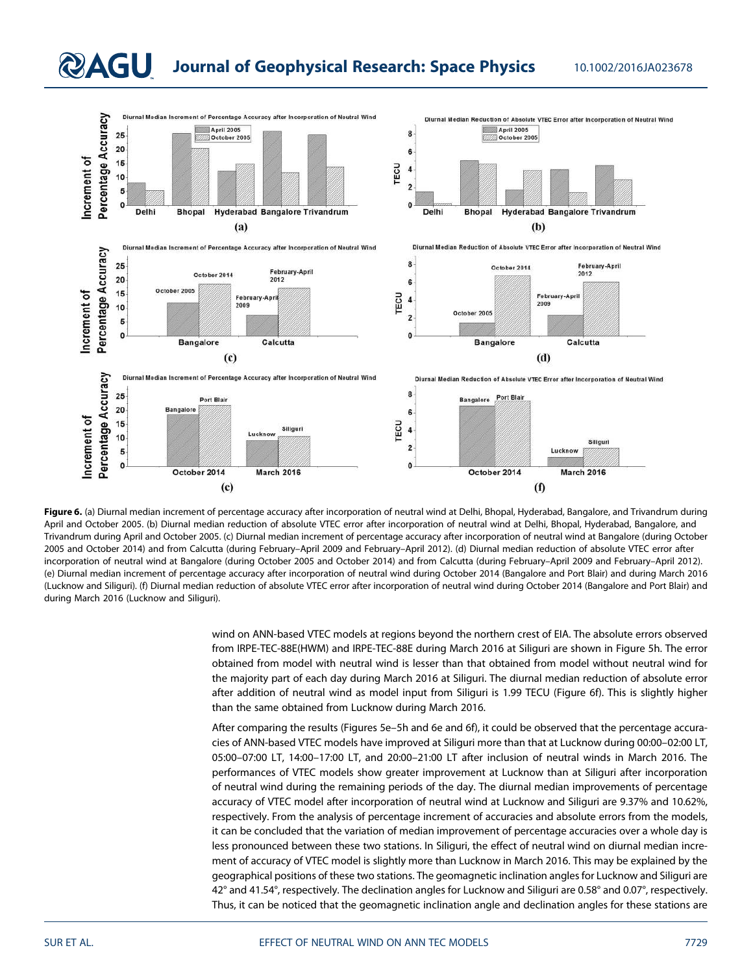# **QAGU** Journal of Geophysical Research: Space Physics 10.1002/2016JA023678



Figure 6. (a) Diurnal median increment of percentage accuracy after incorporation of neutral wind at Delhi, Bhopal, Hyderabad, Bangalore, and Trivandrum during April and October 2005. (b) Diurnal median reduction of absolute VTEC error after incorporation of neutral wind at Delhi, Bhopal, Hyderabad, Bangalore, and Trivandrum during April and October 2005. (c) Diurnal median increment of percentage accuracy after incorporation of neutral wind at Bangalore (during October 2005 and October 2014) and from Calcutta (during February–April 2009 and February–April 2012). (d) Diurnal median reduction of absolute VTEC error after incorporation of neutral wind at Bangalore (during October 2005 and October 2014) and from Calcutta (during February–April 2009 and February–April 2012). (e) Diurnal median increment of percentage accuracy after incorporation of neutral wind during October 2014 (Bangalore and Port Blair) and during March 2016 (Lucknow and Siliguri). (f) Diurnal median reduction of absolute VTEC error after incorporation of neutral wind during October 2014 (Bangalore and Port Blair) and during March 2016 (Lucknow and Siliguri).

> wind on ANN-based VTEC models at regions beyond the northern crest of EIA. The absolute errors observed from IRPE-TEC-88E(HWM) and IRPE-TEC-88E during March 2016 at Siliguri are shown in Figure 5h. The error obtained from model with neutral wind is lesser than that obtained from model without neutral wind for the majority part of each day during March 2016 at Siliguri. The diurnal median reduction of absolute error after addition of neutral wind as model input from Siliguri is 1.99 TECU (Figure 6f). This is slightly higher than the same obtained from Lucknow during March 2016.

> After comparing the results (Figures 5e–5h and 6e and 6f), it could be observed that the percentage accuracies of ANN-based VTEC models have improved at Siliguri more than that at Lucknow during 00:00–02:00 LT, 05:00–07:00 LT, 14:00–17:00 LT, and 20:00–21:00 LT after inclusion of neutral winds in March 2016. The performances of VTEC models show greater improvement at Lucknow than at Siliguri after incorporation of neutral wind during the remaining periods of the day. The diurnal median improvements of percentage accuracy of VTEC model after incorporation of neutral wind at Lucknow and Siliguri are 9.37% and 10.62%, respectively. From the analysis of percentage increment of accuracies and absolute errors from the models, it can be concluded that the variation of median improvement of percentage accuracies over a whole day is less pronounced between these two stations. In Siliguri, the effect of neutral wind on diurnal median increment of accuracy of VTEC model is slightly more than Lucknow in March 2016. This may be explained by the geographical positions of these two stations. The geomagnetic inclination angles for Lucknow and Siliguri are 42° and 41.54°, respectively. The declination angles for Lucknow and Siliguri are 0.58° and 0.07°, respectively. Thus, it can be noticed that the geomagnetic inclination angle and declination angles for these stations are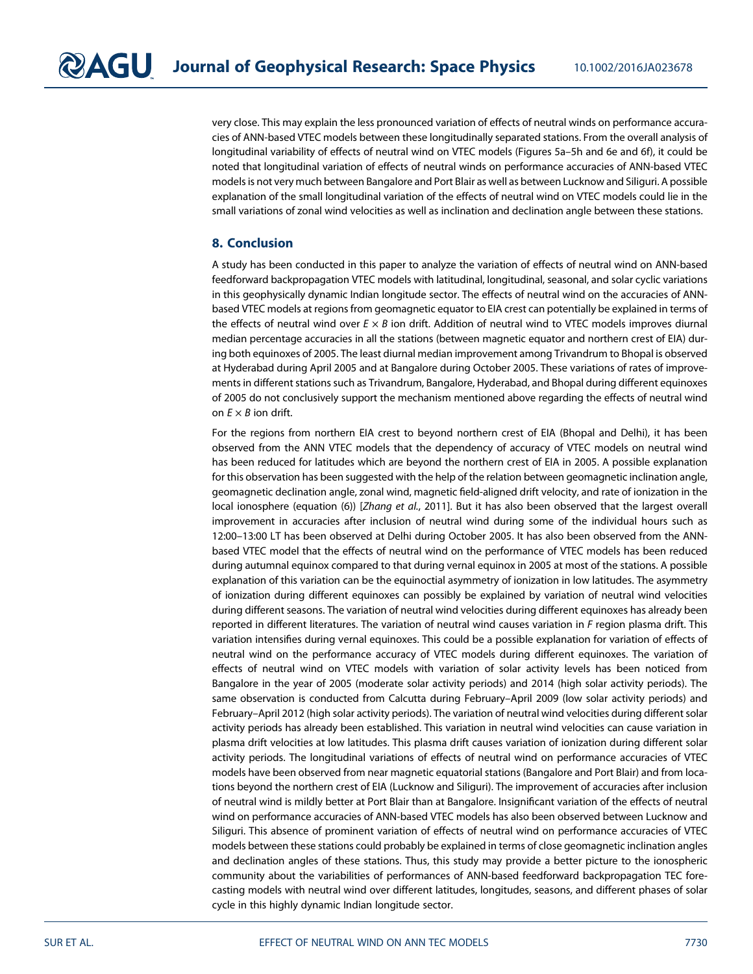very close. This may explain the less pronounced variation of effects of neutral winds on performance accuracies of ANN-based VTEC models between these longitudinally separated stations. From the overall analysis of longitudinal variability of effects of neutral wind on VTEC models (Figures 5a–5h and 6e and 6f), it could be noted that longitudinal variation of effects of neutral winds on performance accuracies of ANN-based VTEC models is not very much between Bangalore and Port Blair as well as between Lucknow and Siliguri. A possible explanation of the small longitudinal variation of the effects of neutral wind on VTEC models could lie in the small variations of zonal wind velocities as well as inclination and declination angle between these stations.

#### 8. Conclusion

A study has been conducted in this paper to analyze the variation of effects of neutral wind on ANN-based feedforward backpropagation VTEC models with latitudinal, longitudinal, seasonal, and solar cyclic variations in this geophysically dynamic Indian longitude sector. The effects of neutral wind on the accuracies of ANNbased VTEC models at regions from geomagnetic equator to EIA crest can potentially be explained in terms of the effects of neutral wind over *E* × *B* ion drift. Addition of neutral wind to VTEC models improves diurnal median percentage accuracies in all the stations (between magnetic equator and northern crest of EIA) during both equinoxes of 2005. The least diurnal median improvement among Trivandrum to Bhopal is observed at Hyderabad during April 2005 and at Bangalore during October 2005. These variations of rates of improvements in different stations such as Trivandrum, Bangalore, Hyderabad, and Bhopal during different equinoxes of 2005 do not conclusively support the mechanism mentioned above regarding the effects of neutral wind on  $E \times B$  ion drift.

For the regions from northern EIA crest to beyond northern crest of EIA (Bhopal and Delhi), it has been observed from the ANN VTEC models that the dependency of accuracy of VTEC models on neutral wind has been reduced for latitudes which are beyond the northern crest of EIA in 2005. A possible explanation for this observation has been suggested with the help of the relation between geomagnetic inclination angle, geomagnetic declination angle, zonal wind, magnetic field-aligned drift velocity, and rate of ionization in the local ionosphere (equation (6)) [*Zhang et al.*, 2011]. But it has also been observed that the largest overall improvement in accuracies after inclusion of neutral wind during some of the individual hours such as 12:00–13:00 LT has been observed at Delhi during October 2005. It has also been observed from the ANNbased VTEC model that the effects of neutral wind on the performance of VTEC models has been reduced during autumnal equinox compared to that during vernal equinox in 2005 at most of the stations. A possible explanation of this variation can be the equinoctial asymmetry of ionization in low latitudes. The asymmetry of ionization during different equinoxes can possibly be explained by variation of neutral wind velocities during different seasons. The variation of neutral wind velocities during different equinoxes has already been reported in different literatures. The variation of neutral wind causes variation in *F* region plasma drift. This variation intensifies during vernal equinoxes. This could be a possible explanation for variation of effects of neutral wind on the performance accuracy of VTEC models during different equinoxes. The variation of effects of neutral wind on VTEC models with variation of solar activity levels has been noticed from Bangalore in the year of 2005 (moderate solar activity periods) and 2014 (high solar activity periods). The same observation is conducted from Calcutta during February–April 2009 (low solar activity periods) and February–April 2012 (high solar activity periods). The variation of neutral wind velocities during different solar activity periods has already been established. This variation in neutral wind velocities can cause variation in plasma drift velocities at low latitudes. This plasma drift causes variation of ionization during different solar activity periods. The longitudinal variations of effects of neutral wind on performance accuracies of VTEC models have been observed from near magnetic equatorial stations (Bangalore and Port Blair) and from locations beyond the northern crest of EIA (Lucknow and Siliguri). The improvement of accuracies after inclusion of neutral wind is mildly better at Port Blair than at Bangalore. Insignificant variation of the effects of neutral wind on performance accuracies of ANN-based VTEC models has also been observed between Lucknow and Siliguri. This absence of prominent variation of effects of neutral wind on performance accuracies of VTEC models between these stations could probably be explained in terms of close geomagnetic inclination angles and declination angles of these stations. Thus, this study may provide a better picture to the ionospheric community about the variabilities of performances of ANN-based feedforward backpropagation TEC forecasting models with neutral wind over different latitudes, longitudes, seasons, and different phases of solar cycle in this highly dynamic Indian longitude sector.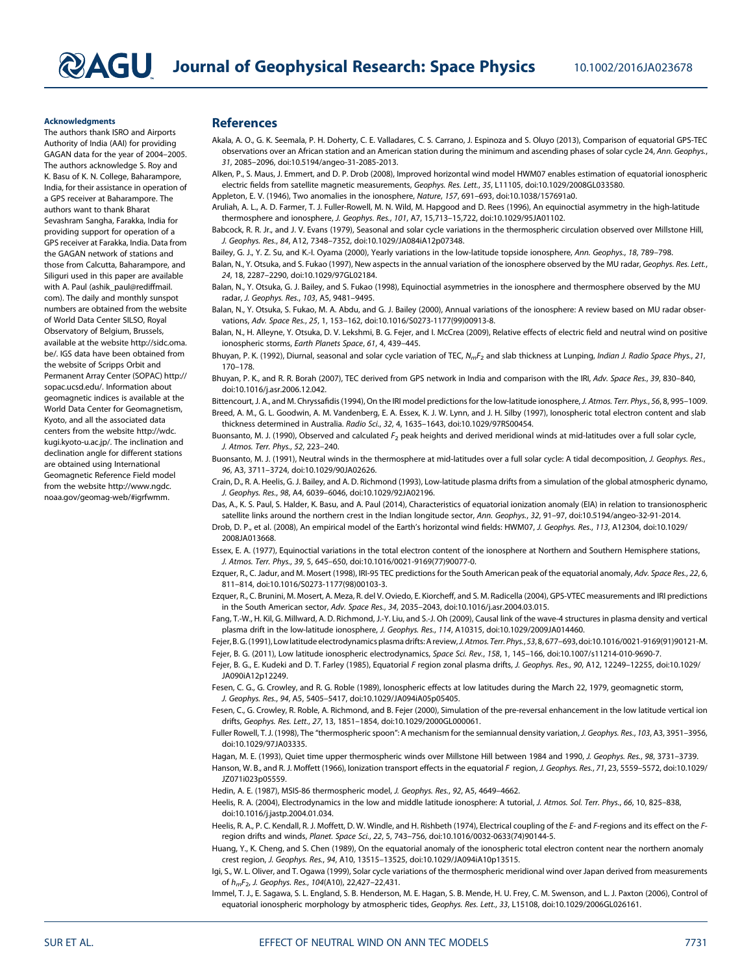#### Acknowledgments

The authors thank ISRO and Airports Authority of India (AAI) for providing GAGAN data for the year of 2004–2005. The authors acknowledge S. Roy and K. Basu of K. N. College, Baharampore, India, for their assistance in operation of a GPS receiver at Baharampore. The authors want to thank Bharat Sevashram Sangha, Farakka, India for providing support for operation of a GPS receiver at Farakka, India. Data from the GAGAN network of stations and those from Calcutta, Baharampore, and Siliguri used in this paper are available with A. Paul (ashik\_paul@rediffmail. com). The daily and monthly sunspot numbers are obtained from the website of World Data Center SILSO, Royal Observatory of Belgium, Brussels, available at the website http://sidc.oma. be/. IGS data have been obtained from the website of Scripps Orbit and Permanent Array Center (SOPAC) http:// sopac.ucsd.edu/. Information about geomagnetic indices is available at the World Data Center for Geomagnetism, Kyoto, and all the associated data centers from the website http://wdc. kugi.kyoto-u.ac.jp/. The inclination and declination angle for different stations are obtained using International Geomagnetic Reference Field model from the website http://www.ngdc. noaa.gov/geomag-web/#igrfwmm.

#### References

- Akala, A. O., G. K. Seemala, P. H. Doherty, C. E. Valladares, C. S. Carrano, J. Espinoza and S. Oluyo (2013), Comparison of equatorial GPS-TEC observations over an African station and an American station during the minimum and ascending phases of solar cycle 24, *Ann. Geophys.*, *31*, 2085–2096, doi:10.5194/angeo-31-2085-2013.
- Alken, P., S. Maus, J. Emmert, and D. P. Drob (2008), Improved horizontal wind model HWM07 enables estimation of equatorial ionospheric electric fields from satellite magnetic measurements, *Geophys. Res. Lett.*, *35*, L11105, doi:10.1029/2008GL033580.
- Appleton, E. V. (1946), Two anomalies in the ionosphere, *Nature*, *157*, 691–693, doi:10.1038/157691a0.

Aruliah, A. L., A. D. Farmer, T. J. Fuller-Rowell, M. N. Wild, M. Hapgood and D. Rees (1996), An equinoctial asymmetry in the high-latitude thermosphere and ionosphere, *J. Geophys. Res.*, *101*, A7, 15,713–15,722, doi:10.1029/95JA01102.

Babcock, R. R. Jr., and J. V. Evans (1979), Seasonal and solar cycle variations in the thermospheric circulation observed over Millstone Hill, *J. Geophys. Res.*, *84*, A12, 7348–7352, doi:10.1029/JA084iA12p07348.

Bailey, G. J., Y. Z. Su, and K.-I. Oyama (2000), Yearly variations in the low-latitude topside ionosphere, *Ann. Geophys.*, *18*, 789–798.

Balan, N., Y. Otsuka, and S. Fukao (1997), New aspects in the annual variation of the ionosphere observed by the MU radar, *Geophys. Res. Lett.*, *24*, 18, 2287–2290, doi:10.1029/97GL02184.

Balan, N., Y. Otsuka, G. J. Bailey, and S. Fukao (1998), Equinoctial asymmetries in the ionosphere and thermosphere observed by the MU radar, *J. Geophys. Res.*, *103*, A5, 9481–9495.

Balan, N., Y. Otsuka, S. Fukao, M. A. Abdu, and G. J. Bailey (2000), Annual variations of the ionosphere: A review based on MU radar observations, *Adv. Space Res.*, *25*, 1, 153–162, doi:10.1016/S0273-1177(99)00913-8.

Balan, N., H. Alleyne, Y. Otsuka, D. V. Lekshmi, B. G. Fejer, and I. McCrea (2009), Relative effects of electric field and neutral wind on positive ionospheric storms, *Earth Planets Space*, *61*, 4, 439–445.

Bhuyan, P. K. (1992), Diurnal, seasonal and solar cycle variation of TEC, *NmF*<sup>2</sup> and slab thickness at Lunping, *Indian J. Radio Space Phys.*, *21*, 170–178.

Bhuyan, P. K., and R. R. Borah (2007), TEC derived from GPS network in India and comparison with the IRI, *Adv. Space Res.*, *39*, 830–840, doi:10.1016/j.asr.2006.12.042.

Bittencourt, J. A., and M. Chryssafidis (1994), On the IRI model predictions for the low-latitude ionosphere, *J. Atmos. Terr. Phys.*, *56*, 8, 995–1009. Breed, A. M., G. L. Goodwin, A. M. Vandenberg, E. A. Essex, K. J. W. Lynn, and J. H. Silby (1997), Ionospheric total electron content and slab thickness determined in Australia. *Radio Sci.*, *32*, 4, 1635–1643, doi:10.1029/97RS00454.

Buonsanto, M. J. (1990), Observed and calculated *F*<sub>2</sub> peak heights and derived meridional winds at mid-latitudes over a full solar cycle, *J. Atmos. Terr. Phys.*, *52*, 223–240.

Buonsanto, M. J. (1991), Neutral winds in the thermosphere at mid-latitudes over a full solar cycle: A tidal decomposition, *J. Geophys. Res.*, *96*, A3, 3711–3724, doi:10.1029/90JA02626.

Crain, D., R. A. Heelis, G. J. Bailey, and A. D. Richmond (1993), Low-latitude plasma drifts from a simulation of the global atmospheric dynamo, *J. Geophys. Res.*, *98*, A4, 6039–6046, doi:10.1029/92JA02196.

Das, A., K. S. Paul, S. Halder, K. Basu, and A. Paul (2014), Characteristics of equatorial ionization anomaly (EIA) in relation to transionospheric satellite links around the northern crest in the Indian longitude sector, *Ann. Geophys.*, *32*, 91–97, doi:10.5194/angeo-32-91-2014.

Drob, D. P., et al. (2008), An empirical model of the Earth's horizontal wind fields: HWM07, *J. Geophys. Res.*, *113*, A12304, doi:10.1029/ 2008JA013668.

Essex, E. A. (1977), Equinoctial variations in the total electron content of the ionosphere at Northern and Southern Hemisphere stations, *J. Atmos. Terr. Phys.*, *39*, 5, 645–650, doi:10.1016/0021-9169(77)90077-0.

Ezquer, R., C. Jadur, and M. Mosert (1998), IRI-95 TEC predictions for the South American peak of the equatorial anomaly, *Adv. Space Res.*, *22*, 6, 811–814, doi:10.1016/S0273-1177(98)00103-3.

Ezquer, R., C. Brunini, M. Mosert, A. Meza, R. del V. Oviedo, E. Kiorcheff, and S. M. Radicella (2004), GPS-VTEC measurements and IRI predictions in the South American sector, *Adv. Space Res.*, *34*, 2035–2043, doi:10.1016/j.asr.2004.03.015.

Fang, T.-W., H. Kil, G. Millward, A. D. Richmond, J.-Y. Liu, and S.-J. Oh (2009), Causal link of the wave-4 structures in plasma density and vertical plasma drift in the low-latitude ionosphere, *J. Geophys. Res.*, *114*, A10315, doi:10.1029/2009JA014460.

Fejer, B.G.(1991), Low latitude electrodynamics plasma drifts: A review,*J. Atmos. Terr. Phys.*, *53*, 8, 677–693, doi:10.1016/0021-9169(91)90121-M. Fejer, B. G. (2011), Low latitude ionospheric electrodynamics, *Space Sci. Rev.*, *158*, 1, 145–166, doi:10.1007/s11214-010-9690-7.

Fejer, B. G., E. Kudeki and D. T. Farley (1985), Equatorial *F* region zonal plasma drifts, *J. Geophys. Res.*, *90*, A12, 12249–12255, doi:10.1029/ JA090iA12p12249.

Fesen, C. G., G. Crowley, and R. G. Roble (1989), Ionospheric effects at low latitudes during the March 22, 1979, geomagnetic storm, *J. Geophys. Res.*, *94*, A5, 5405–5417, doi:10.1029/JA094iA05p05405.

Fesen, C., G. Crowley, R. Roble, A. Richmond, and B. Fejer (2000), Simulation of the pre-reversal enhancement in the low latitude vertical ion drifts, *Geophys. Res. Lett.*, *27*, 13, 1851–1854, doi:10.1029/2000GL000061.

Fuller Rowell, T. J. (1998), The "thermospheric spoon": A mechanism for the semiannual density variation, *J. Geophys. Res.*, *103*, A3, 3951–3956, doi:10.1029/97JA03335.

Hagan, M. E. (1993), Quiet time upper thermospheric winds over Millstone Hill between 1984 and 1990, *J. Geophys. Res.*, *98*, 3731–3739. Hanson, W. B., and R. J. Moffett (1966), Ionization transport effects in the equatorial *F* region, *J. Geophys. Res.*, *71*, 23, 5559–5572, doi:10.1029/

JZ071i023p05559.

Hedin, A. E. (1987), MSIS-86 thermospheric model, *J. Geophys. Res.*, *92*, A5, 4649–4662.

Heelis, R. A. (2004), Electrodynamics in the low and middle latitude ionosphere: A tutorial, *J. Atmos. Sol. Terr. Phys.*, *66*, 10, 825–838, doi:10.1016/j.jastp.2004.01.034.

Heelis, R. A., P. C. Kendall, R. J. Moffett, D. W. Windle, and H. Rishbeth (1974), Electrical coupling of the *E*- and *F*-regions and its effect on the *F*region drifts and winds, *Planet. Space Sci.*, *22*, 5, 743–756, doi:10.1016/0032-0633(74)90144-5.

Huang, Y., K. Cheng, and S. Chen (1989), On the equatorial anomaly of the ionospheric total electron content near the northern anomaly crest region, *J. Geophys. Res.*, *94*, A10, 13515–13525, doi:10.1029/JA094iA10p13515.

Igi, S., W. L. Oliver, and T. Ogawa (1999), Solar cycle variations of the thermospheric meridional wind over Japan derived from measurements of *hmF*2, *J. Geophys. Res.*, *104*(A10), 22,427–22,431.

Immel, T. J., E. Sagawa, S. L. England, S. B. Henderson, M. E. Hagan, S. B. Mende, H. U. Frey, C. M. Swenson, and L. J. Paxton (2006), Control of equatorial ionospheric morphology by atmospheric tides, *Geophys. Res. Lett.*, *33*, L15108, doi:10.1029/2006GL026161.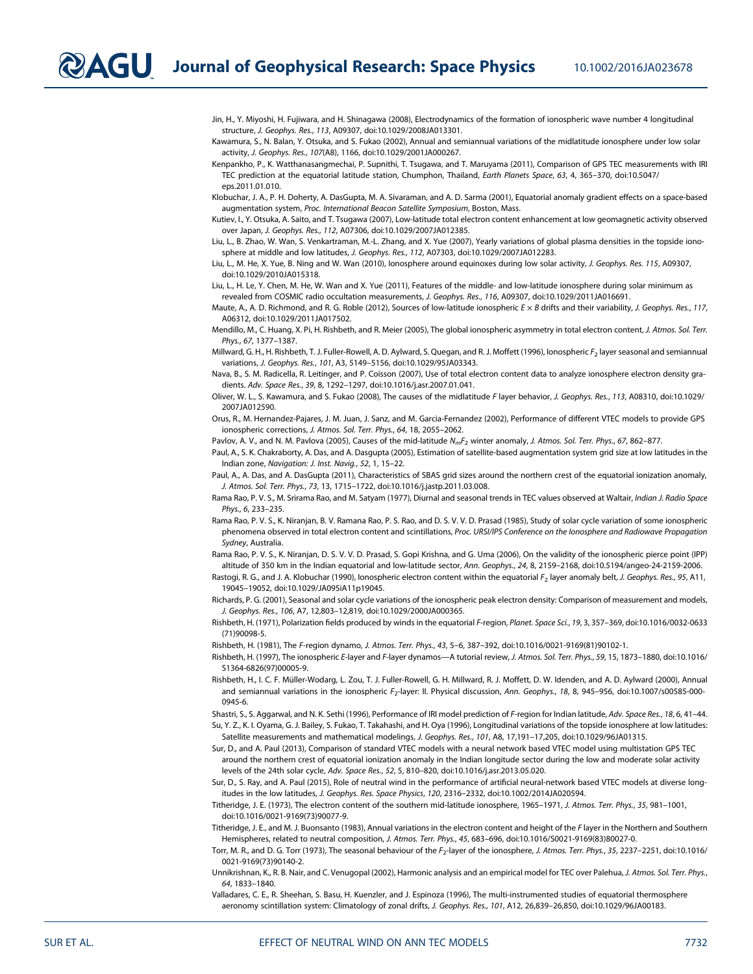$\mathbf{2AGU}$  Journal of Geophysical Research: Space Physics 10.1002/2016JA023678

- Jin, H., Y. Miyoshi, H. Fujiwara, and H. Shinagawa (2008), Electrodynamics of the formation of ionospheric wave number 4 longitudinal structure, *J. Geophys. Res.*, *113*, A09307, doi:10.1029/2008JA013301.
- Kawamura, S., N. Balan, Y. Otsuka, and S. Fukao (2002), Annual and semiannual variations of the midlatitude ionosphere under low solar activity, *J. Geophys. Res.*, *107*(A8), 1166, doi:10.1029/2001JA000267.
- Kenpankho, P., K. Watthanasangmechai, P. Supnithi, T. Tsugawa, and T. Maruyama (2011), Comparison of GPS TEC measurements with IRI TEC prediction at the equatorial latitude station, Chumphon, Thailand, *Earth Planets Space*, *63*, 4, 365–370, doi:10.5047/ eps.2011.01.010.
- Klobuchar, J. A., P. H. Doherty, A. DasGupta, M. A. Sivaraman, and A. D. Sarma (2001), Equatorial anomaly gradient effects on a space-based augmentation system, *Proc. International Beacon Satellite Symposium*, Boston, Mass.
- Kutiev, I., Y. Otsuka, A. Saito, and T. Tsugawa (2007), Low-latitude total electron content enhancement at low geomagnetic activity observed over Japan, *J. Geophys. Res.*, *112*, A07306, doi:10.1029/2007JA012385.
- Liu, L., B. Zhao, W. Wan, S. Venkartraman, M.-L. Zhang, and X. Yue (2007), Yearly variations of global plasma densities in the topside ionosphere at middle and low latitudes, *J. Geophys. Res.*, *112*, A07303, doi:10.1029/2007JA012283.

Liu, L., M. He, X. Yue, B. Ning and W. Wan (2010), Ionosphere around equinoxes during low solar activity, *J. Geophys. Res. 115*, A09307, doi:10.1029/2010JA015318.

Liu, L., H. Le, Y. Chen, M. He, W. Wan and X. Yue (2011), Features of the middle- and low-latitude ionosphere during solar minimum as revealed from COSMIC radio occultation measurements, *J. Geophys. Res.*, *116*, A09307, doi:10.1029/2011JA016691.

Maute, A., A. D. Richmond, and R. G. Roble (2012), Sources of low-latitude ionospheric *E* × *B* drifts and their variability, *J. Geophys. Res.*, *117*, A06312, doi:10.1029/2011JA017502.

Mendillo, M., C. Huang, X. Pi, H. Rishbeth, and R. Meier (2005), The global ionospheric asymmetry in total electron content, *J. Atmos. Sol. Terr. Phys.*, *67*, 1377–1387.

Millward, G. H., H. Rishbeth, T. J. Fuller-Rowell, A. D. Aylward, S. Quegan, and R. J. Moffett (1996), Ionospheric *F*2 layer seasonal and semiannual variations, *J. Geophys. Res.*, *101*, A3, 5149–5156, doi:10.1029/95JA03343.

- Nava, B., S. M. Radicella, R. Leitinger, and P. Coïsson (2007), Use of total electron content data to analyze ionosphere electron density gradients. *Adv. Space Res.*, *39*, 8, 1292–1297, doi:10.1016/j.asr.2007.01.041.
- Oliver, W. L., S. Kawamura, and S. Fukao (2008), The causes of the midlatitude *F* layer behavior, *J. Geophys. Res.*, *113*, A08310, doi:10.1029/ 2007JA012590.

Orus, R., M. Hernandez-Pajares, J. M. Juan, J. Sanz, and M. Garcia-Fernandez (2002), Performance of different VTEC models to provide GPS ionospheric corrections, *J. Atmos. Sol. Terr. Phys.*, *64*, 18, 2055–2062.

Pavlov, A. V., and N. M. Pavlova (2005), Causes of the mid-latitude *NmF*<sup>2</sup> winter anomaly, *J. Atmos. Sol. Terr. Phys.*, *67*, 862–877.

Paul, A., S. K. Chakraborty, A. Das, and A. Dasgupta (2005), Estimation of satellite-based augmentation system grid size at low latitudes in the Indian zone, *Navigation: J. Inst. Navig.*, *52*, 1, 15–22.

Paul, A., A. Das, and A. DasGupta (2011), Characteristics of SBAS grid sizes around the northern crest of the equatorial ionization anomaly, *J. Atmos. Sol. Terr. Phys.*, *73*, 13, 1715–1722, doi:10.1016/j.jastp.2011.03.008.

- Rama Rao, P. V. S., M. Srirama Rao, and M. Satyam (1977), Diurnal and seasonal trends in TEC values observed at Waltair, *Indian J. Radio Space Phys.*, *6*, 233–235.
- Rama Rao, P. V. S., K. Niranjan, B. V. Ramana Rao, P. S. Rao, and D. S. V. V. D. Prasad (1985), Study of solar cycle variation of some ionospheric phenomena observed in total electron content and scintillations, *Proc. URSI/IPS Conference on the Ionosphere and Radiowave Propagation Sydney*, Australia.

Rama Rao, P. V. S., K. Niranjan, D. S. V. V. D. Prasad, S. Gopi Krishna, and G. Uma (2006), On the validity of the ionospheric pierce point (IPP) altitude of 350 km in the Indian equatorial and low-latitude sector, *Ann. Geophys.*, *24*, 8, 2159–2168, doi:10.5194/angeo-24-2159-2006.

Rastogi, R. G., and J. A. Klobuchar (1990), Ionospheric electron content within the equatorial *F*<sup>2</sup> layer anomaly belt, *J. Geophys. Res.*, *95*, A11, 19045–19052, doi:10.1029/JA095iA11p19045.

Richards, P. G. (2001), Seasonal and solar cycle variations of the ionospheric peak electron density: Comparison of measurement and models, *J. Geophys. Res.*, *106*, A7, 12,803–12,819, doi:10.1029/2000JA000365.

Rishbeth, H. (1971), Polarization fields produced by winds in the equatorial *F*-region, *Planet. Space Sci.*, *19*, 3, 357–369, doi:10.1016/0032-0633 (71)90098-5.

Rishbeth, H. (1981), The *F*-region dynamo, *J. Atmos. Terr. Phys.*, *43*, 5–6, 387–392, doi:10.1016/0021-9169(81)90102-1.

- Rishbeth, H. (1997), The ionospheric *E*-layer and *F*-layer dynamos—A tutorial review, *J. Atmos. Sol. Terr. Phys.*, *59*, 15, 1873–1880, doi:10.1016/ S1364-6826(97)00005-9.
- Rishbeth, H., I. C. F. Müller-Wodarg, L. Zou, T. J. Fuller-Rowell, G. H. Millward, R. J. Moffett, D. W. Idenden, and A. D. Aylward (2000), Annual and semiannual variations in the ionospheric *F*2-layer: II. Physical discussion, *Ann. Geophys.*, *18*, 8, 945–956, doi:10.1007/s00585-000- 0945-6.

Shastri, S., S. Aggarwal, and N. K. Sethi (1996), Performance of IRI model prediction of *F*-region for Indian latitude, *Adv. Space Res.*, *18*, 6, 41–44.

Su, Y. Z., K. I. Oyama, G. J. Bailey, S. Fukao, T. Takahashi, and H. Oya (1996), Longitudinal variations of the topside ionosphere at low latitudes: Satellite measurements and mathematical modelings, *J. Geophys. Res.*, *101*, A8, 17,191–17,205, doi:10.1029/96JA01315.

Sur, D., and A. Paul (2013), Comparison of standard VTEC models with a neural network based VTEC model using multistation GPS TEC around the northern crest of equatorial ionization anomaly in the Indian longitude sector during the low and moderate solar activity levels of the 24th solar cycle, *Adv. Space Res.*, *52*, 5, 810–820, doi:10.1016/j.asr.2013.05.020.

Sur, D., S. Ray, and A. Paul (2015), Role of neutral wind in the performance of artificial neural-network based VTEC models at diverse longitudes in the low latitudes, *J. Geophys. Res. Space Physics*, *120*, 2316–2332, doi:10.1002/2014JA020594.

Titheridge, J. E. (1973), The electron content of the southern mid-latitude ionosphere, 1965–1971, *J. Atmos. Terr. Phys.*, *35*, 981–1001, doi:10.1016/0021-9169(73)90077-9.

Titheridge, J. E., and M. J. Buonsanto (1983), Annual variations in the electron content and height of the *F* layer in the Northern and Southern Hemispheres, related to neutral composition, *J. Atmos. Terr. Phys.*, *45*, 683–696, doi:10.1016/S0021-9169(83)80027-0.

Torr, M. R., and D. G. Torr (1973), The seasonal behaviour of the *F*2-layer of the ionosphere, *J. Atmos. Terr. Phys.*, *35*, 2237–2251, doi:10.1016/ 0021-9169(73)90140-2.

Unnikrishnan, K., R. B. Nair, and C. Venugopal (2002), Harmonic analysis and an empirical model for TEC over Palehua, *J. Atmos. Sol. Terr. Phys.*, *64*, 1833–1840.

Valladares, C. E., R. Sheehan, S. Basu, H. Kuenzler, and J. Espinoza (1996), The multi-instrumented studies of equatorial thermosphere aeronomy scintillation system: Climatology of zonal drifts, *J. Geophys. Res.*, *101*, A12, 26,839–26,850, doi:10.1029/96JA00183.